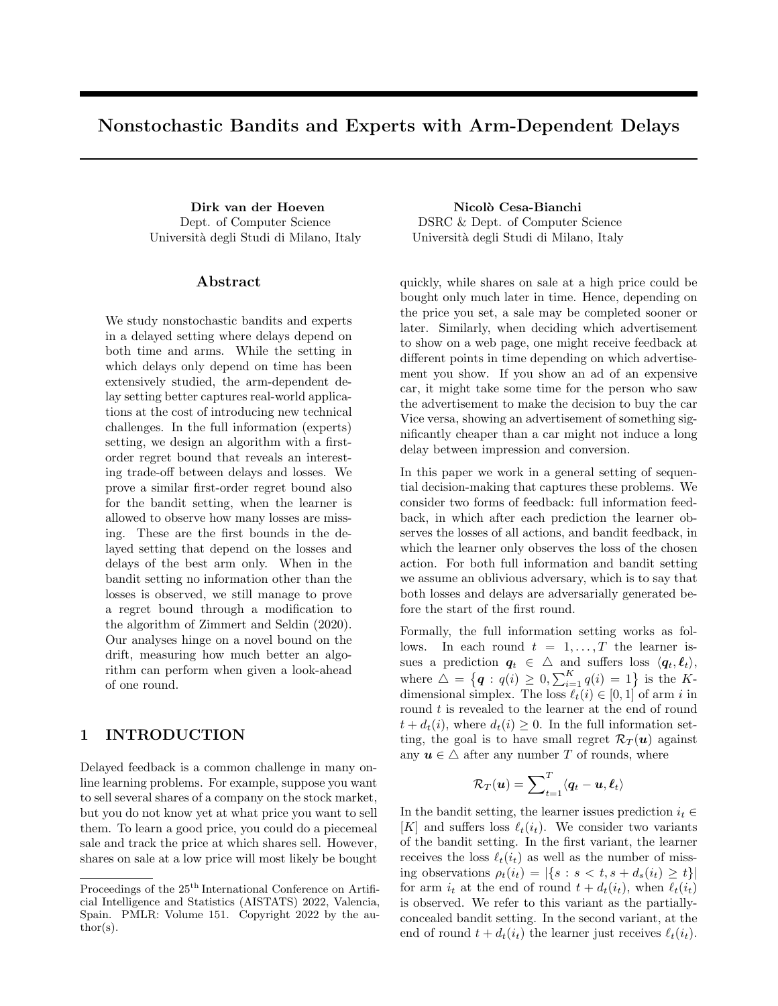# Nonstochastic Bandits and Experts with Arm-Dependent Delays

Dept. of Computer Science Universit`a degli Studi di Milano, Italy

### ${\rm Abstract}$

We study nonstochastic bandits and experts in a delayed setting where delays depend on both time and arms. While the setting in which delays only depend on time has been extensively studied, the arm-dependent delay setting better captures real-world applications at the cost of introducing new technical challenges. In the full information (experts) setting, we design an algorithm with a firstorder regret bound that reveals an interesting trade-off between delays and losses. We prove a similar first-order regret bound also for the bandit setting, when the learner is allowed to observe how many losses are missing. These are the first bounds in the delayed setting that depend on the losses and delays of the best arm only. When in the bandit setting no information other than the losses is observed, we still manage to prove a regret bound through a modification to the algorithm of [Zimmert and Seldin \(2020\)](#page-9-0). Our analyses hinge on a novel bound on the drift, measuring how much better an algorithm can perform when given a look-ahead of one round.

# 1 INTRODUCTION

Delayed feedback is a common challenge in many online learning problems. For example, suppose you want to sell several shares of a company on the stock market, but you do not know yet at what price you want to sell them. To learn a good price, you could do a piecemeal sale and track the price at which shares sell. However, shares on sale at a low price will most likely be bought

Dirk van der Hoeven Nicolò Cesa-Bianchi DSRC & Dept. of Computer Science Universit`a degli Studi di Milano, Italy

> quickly, while shares on sale at a high price could be bought only much later in time. Hence, depending on the price you set, a sale may be completed sooner or later. Similarly, when deciding which advertisement to show on a web page, one might receive feedback at different points in time depending on which advertisement you show. If you show an ad of an expensive car, it might take some time for the person who saw the advertisement to make the decision to buy the car Vice versa, showing an advertisement of something significantly cheaper than a car might not induce a long delay between impression and conversion.

> In this paper we work in a general setting of sequential decision-making that captures these problems. We consider two forms of feedback: full information feedback, in which after each prediction the learner observes the losses of all actions, and bandit feedback, in which the learner only observes the loss of the chosen action. For both full information and bandit setting we assume an oblivious adversary, which is to say that both losses and delays are adversarially generated before the start of the first round.

> Formally, the full information setting works as follows. In each round  $t = 1, \ldots, T$  the learner issues a prediction  $q_t \in \Delta$  and suffers loss  $\langle q_t, \ell_t \rangle$ , where  $\Delta = \{ \mathbf{q} : q(i) \ge 0, \sum_{i=1}^{K} q(i) = 1 \}$  is the Kdimensional simplex. The loss  $\ell_t(i) \in [0, 1]$  of arm i in round t is revealed to the learner at the end of round  $t + d_t(i)$ , where  $d_t(i) \geq 0$ . In the full information setting, the goal is to have small regret  $\mathcal{R}_T(u)$  against any  $u \in \Delta$  after any number T of rounds, where

$$
\mathcal{R}_T(\boldsymbol{u}) = \sum\nolimits_{t=1}^T \langle \boldsymbol{q}_t - \boldsymbol{u}, \boldsymbol{\ell}_t \rangle
$$

In the bandit setting, the learner issues prediction  $i_t \in$ [K] and suffers loss  $\ell_t(i_t)$ . We consider two variants of the bandit setting. In the first variant, the learner receives the loss  $\ell_t(i_t)$  as well as the number of missing observations  $\rho_t(i_t) = |\{s : s < t, s + d_s(i_t) \geq t\}|$ for arm  $i_t$  at the end of round  $t + d_t(i_t)$ , when  $\ell_t(i_t)$ is observed. We refer to this variant as the partiallyconcealed bandit setting. In the second variant, at the end of round  $t + d_t(i_t)$  the learner just receives  $\ell_t(i_t)$ .

Proceedings of the  $25^{\mathrm{th}}$  International Conference on Artificial Intelligence and Statistics (AISTATS) 2022, Valencia, Spain. PMLR: Volume 151. Copyright 2022 by the au- $\text{thor}(s)$ .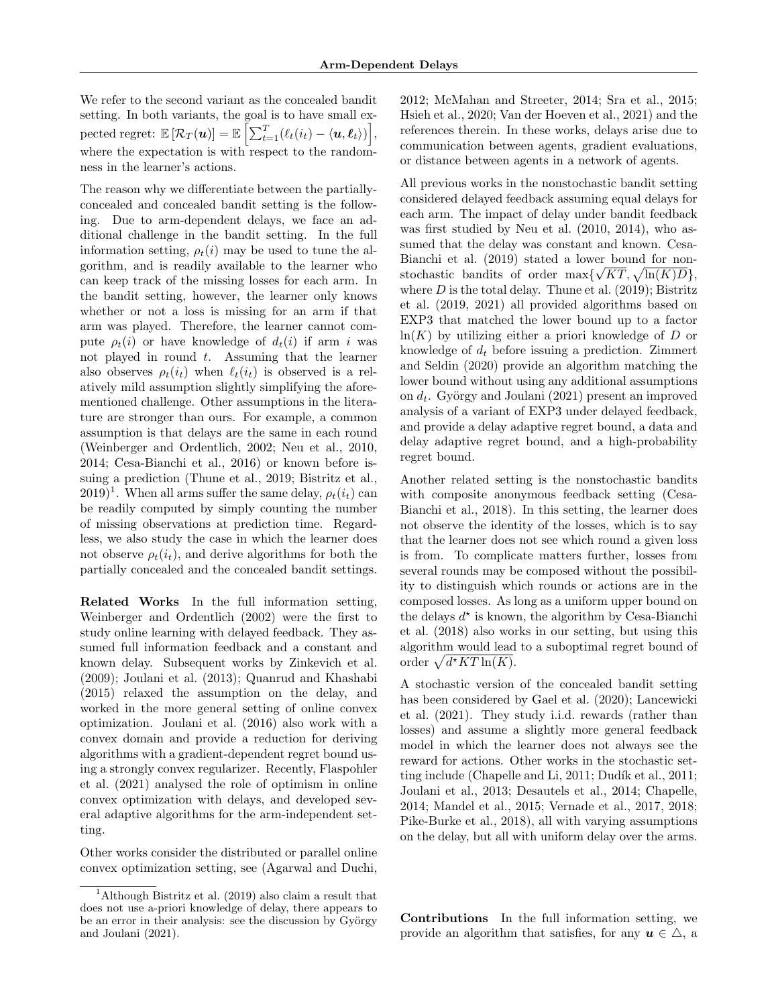We refer to the second variant as the concealed bandit setting. In both variants, the goal is to have small ex- $\text{pected regret: } \mathbb{E}\left[\mathcal{R}_T(\boldsymbol{u})\right] = \mathbb{E}\left[\sum_{t=1}^T (\ell_t(i_t) - \langle \boldsymbol{u}, \boldsymbol{\ell}_t \rangle )\right],$ where the expectation is with respect to the randomness in the learner's actions.

The reason why we differentiate between the partiallyconcealed and concealed bandit setting is the following. Due to arm-dependent delays, we face an additional challenge in the bandit setting. In the full information setting,  $\rho_t(i)$  may be used to tune the algorithm, and is readily available to the learner who can keep track of the missing losses for each arm. In the bandit setting, however, the learner only knows whether or not a loss is missing for an arm if that arm was played. Therefore, the learner cannot compute  $\rho_t(i)$  or have knowledge of  $d_t(i)$  if arm i was not played in round  $t$ . Assuming that the learner also observes  $\rho_t(i_t)$  when  $\ell_t(i_t)$  is observed is a relatively mild assumption slightly simplifying the aforementioned challenge. Other assumptions in the literature are stronger than ours. For example, a common assumption is that delays are the same in each round [\(Weinberger and Ordentlich, 2002;](#page-9-1) [Neu et al., 2010,](#page-9-2) [2014;](#page-9-3) [Cesa-Bianchi et al., 2016\)](#page-8-0) or known before issuing a prediction [\(Thune et al., 2019;](#page-9-4) [Bistritz et al.,](#page-8-1)  $(2019)^1$  $(2019)^1$  $(2019)^1$  $(2019)^1$ . When all arms suffer the same delay,  $\rho_t(i_t)$  can be readily computed by simply counting the number of missing observations at prediction time. Regardless, we also study the case in which the learner does not observe  $\rho_t(i_t)$ , and derive algorithms for both the partially concealed and the concealed bandit settings.

Related Works In the full information setting, [Weinberger and Ordentlich \(2002\)](#page-9-1) were the first to study online learning with delayed feedback. They assumed full information feedback and a constant and known delay. Subsequent works by [Zinkevich et al.](#page-9-5) [\(2009\)](#page-9-5); [Joulani et al. \(2013\)](#page-9-6); [Quanrud and Khashabi](#page-9-7) [\(2015\)](#page-9-7) relaxed the assumption on the delay, and worked in the more general setting of online convex optimization. [Joulani et al. \(2016\)](#page-9-8) also work with a convex domain and provide a reduction for deriving algorithms with a gradient-dependent regret bound using a strongly convex regularizer. Recently, [Flaspohler](#page-8-2) [et al. \(2021\)](#page-8-2) analysed the role of optimism in online convex optimization with delays, and developed several adaptive algorithms for the arm-independent setting.

Other works consider the distributed or parallel online convex optimization setting, see [\(Agarwal and Duchi,](#page-8-3) [2012;](#page-8-3) [McMahan and Streeter, 2014;](#page-9-9) [Sra et al., 2015;](#page-9-10) [Hsieh et al., 2020;](#page-8-5) [Van der Hoeven et al., 2021\)](#page-8-6) and the references therein. In these works, delays arise due to communication between agents, gradient evaluations, or distance between agents in a network of agents.

All previous works in the nonstochastic bandit setting considered delayed feedback assuming equal delays for each arm. The impact of delay under bandit feedback was first studied by [Neu et al. \(2010,](#page-9-2) [2014\)](#page-9-3), who assumed that the delay was constant and known. [Cesa-](#page-8-7)Bianchi et al.  $(2019)$  stated a lower bound for nonstochastic bandits of order  $\max{\sqrt{KT}}, \sqrt{\ln(K)D}$ , where  $D$  is the total delay. [Thune et al. \(2019\)](#page-9-4); [Bistritz](#page-8-1) [et al. \(2019,](#page-8-1) [2021\)](#page-8-8) all provided algorithms based on EXP3 that matched the lower bound up to a factor  $ln(K)$  by utilizing either a priori knowledge of D or knowledge of  $d_t$  before issuing a prediction. [Zimmert](#page-9-0) [and Seldin \(2020\)](#page-9-0) provide an algorithm matching the lower bound without using any additional assumptions on  $d_t$ . György and Joulani (2021) present an improved analysis of a variant of EXP3 under delayed feedback, and provide a delay adaptive regret bound, a data and delay adaptive regret bound, and a high-probability regret bound.

Another related setting is the nonstochastic bandits with composite anonymous feedback setting [\(Cesa-](#page-8-9)[Bianchi et al., 2018\)](#page-8-9). In this setting, the learner does not observe the identity of the losses, which is to say that the learner does not see which round a given loss is from. To complicate matters further, losses from several rounds may be composed without the possibility to distinguish which rounds or actions are in the composed losses. As long as a uniform upper bound on the delays  $d^*$  is known, the algorithm by [Cesa-Bianchi](#page-8-9) [et al. \(2018\)](#page-8-9) also works in our setting, but using this algorithm would lead to a suboptimal regret bound of order  $\sqrt{d^*KT\ln(K)}$ .

A stochastic version of the concealed bandit setting has been considered by [Gael et al. \(2020\)](#page-8-10); [Lancewicki](#page-9-11) [et al. \(2021\)](#page-9-11). They study i.i.d. rewards (rather than losses) and assume a slightly more general feedback model in which the learner does not always see the reward for actions. Other works in the stochastic set-ting include [\(Chapelle and Li, 2011;](#page-8-11) Dudík et al., 2011; [Joulani et al., 2013;](#page-9-6) [Desautels et al., 2014;](#page-8-13) [Chapelle,](#page-8-14) [2014;](#page-8-14) [Mandel et al., 2015;](#page-9-12) [Vernade et al., 2017,](#page-9-13) [2018;](#page-9-14) [Pike-Burke et al., 2018\)](#page-9-15), all with varying assumptions on the delay, but all with uniform delay over the arms.

Contributions In the full information setting, we provide an algorithm that satisfies, for any  $u \in \Delta$ , a

<span id="page-1-0"></span><sup>1</sup>Although [Bistritz et al.](#page-8-1) [\(2019\)](#page-8-1) also claim a result that does not use a-priori knowledge of delay, there appears to be an error in their analysis: see the discussion by György [and Joulani](#page-8-4) [\(2021\)](#page-8-4).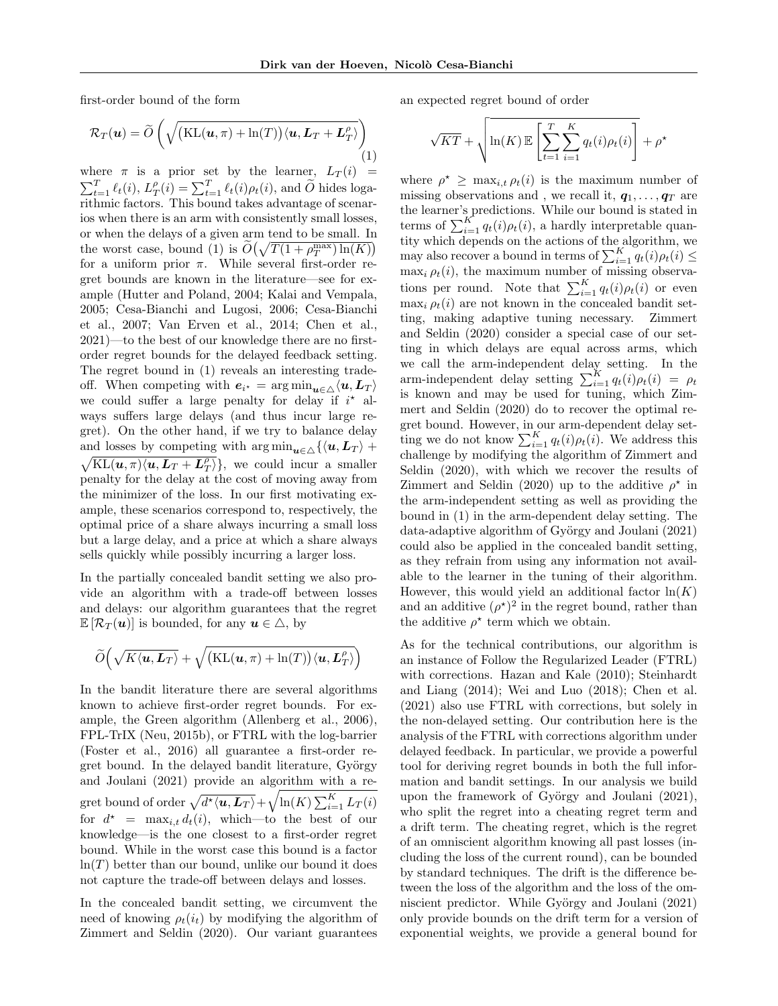first-order bound of the form

<span id="page-2-0"></span>
$$
\mathcal{R}_T(\boldsymbol{u}) = \widetilde{O}\left(\sqrt{\left(\text{KL}(\boldsymbol{u}, \pi) + \ln(T)\right) \langle \boldsymbol{u}, \boldsymbol{L}_T + \boldsymbol{L}_T^{\rho} \rangle}\right)
$$
\n(1)

where  $\pi$  is a prior set by the learner,  $L_T(i)$  =  $\sum_{t=1}^{T} \ell_t(i)$ ,  $L_T^{\rho}(i) = \sum_{t=1}^{T} \ell_t(i) \rho_t(i)$ , and  $\widetilde{O}$  hides loga-<br>rithmic factors. This bound takes advantage of scenarios when there is an arm with consistently small losses, or when the delays of a given arm tend to be small. In the worst case, bound [\(1\)](#page-2-0) is  $O(\sqrt{T(1 + \rho_T^{\max}) \ln(K)})$ for a uniform prior  $\pi$ . While several first-order regret bounds are known in the literature—see for example [\(Hutter and Poland, 2004;](#page-8-15) [Kalai and Vempala,](#page-9-16) [2005;](#page-9-16) [Cesa-Bianchi and Lugosi, 2006;](#page-8-16) [Cesa-Bianchi](#page-8-17) [et al., 2007;](#page-8-17) [Van Erven et al., 2014;](#page-8-18) [Chen et al.,](#page-8-19) [2021\)](#page-8-19)—to the best of our knowledge there are no firstorder regret bounds for the delayed feedback setting. The regret bound in [\(1\)](#page-2-0) reveals an interesting tradeoff. When competing with  $e_{i^*} = \arg \min_{\mathbf{u} \in \triangle} \langle \mathbf{u}, \mathbf{L}_T \rangle$ we could suffer a large penalty for delay if  $i^*$  always suffers large delays (and thus incur large regret). On the other hand, if we try to balance delay and losses by competing with  $\arg\min_{\mathbf{u}\in\Delta}\{\langle \mathbf{u}, \mathbf{L}_T \rangle +$  $\sqrt{\text{KL}(u,\pi)\langle u,L_T + L_T^{\rho} \rangle}$ , we could incur a smaller penalty for the delay at the cost of moving away from the minimizer of the loss. In our first motivating example, these scenarios correspond to, respectively, the optimal price of a share always incurring a small loss but a large delay, and a price at which a share always sells quickly while possibly incurring a larger loss.

In the partially concealed bandit setting we also provide an algorithm with a trade-off between losses and delays: our algorithm guarantees that the regret  $\mathbb{E} [\mathcal{R}_T(u)]$  is bounded, for any  $u \in \triangle$ , by

$$
\widetilde{O}\Big(\sqrt{K\langle {\boldsymbol u}, {\boldsymbol L}_T\rangle} + \sqrt{\big(\mathrm{KL}({\boldsymbol u},\pi)+\ln(T)\big)\langle {\boldsymbol u}, {\boldsymbol L}_T^{\rho}\rangle}\Big)
$$

In the bandit literature there are several algorithms known to achieve first-order regret bounds. For example, the Green algorithm [\(Allenberg et al., 2006\)](#page-8-20), FPL-TrIX [\(Neu, 2015b\)](#page-9-17), or FTRL with the log-barrier [\(Foster et al., 2016\)](#page-8-21) all guarantee a first-order regret bound. In the delayed bandit literature, György [and Joulani \(2021\)](#page-8-4) provide an algorithm with a regret bound of order  $\sqrt{d^\star \langle \bm{u}, \bm{L}_T \rangle} + \sqrt{\ln(K) \sum_{i=1}^K L_T(i)}$ for  $d^* = \max_{i,t} d_t(i)$ , which—to the best of our knowledge—is the one closest to a first-order regret bound. While in the worst case this bound is a factor  $ln(T)$  better than our bound, unlike our bound it does not capture the trade-off between delays and losses.

In the concealed bandit setting, we circumvent the need of knowing  $\rho_t(i_t)$  by modifying the algorithm of [Zimmert and Seldin \(2020\)](#page-9-0). Our variant guarantees an expected regret bound of order

$$
\sqrt{KT} + \sqrt{\ln(K) \mathbb{E}\left[\sum_{t=1}^{T} \sum_{i=1}^{K} q_t(i)\rho_t(i)\right]} + \rho^{\star}
$$

where  $\rho^* \geq \max_{i,t} \rho_t(i)$  is the maximum number of missing observations and, we recall it,  $q_1, \ldots, q_T$  are the learner's predictions. While our bound is stated in terms of  $\sum_{i=1}^{K} q_t(i) \rho_t(i)$ , a hardly interpretable quantity which depends on the actions of the algorithm, we may also recover a bound in terms of  $\sum_{i=1}^{K} q_t(i) \rho_t(i) \leq$  $\max_i \rho_t(i)$ , the maximum number of missing observations per round. Note that  $\sum_{i=1}^{K} q_t(i) \rho_t(i)$  or even  $\max_i \rho_t(i)$  are not known in the concealed bandit setting, making adaptive tuning necessary. [Zimmert](#page-9-0) [and Seldin \(2020\)](#page-9-0) consider a special case of our setting in which delays are equal across arms, which we call the arm-independent delay setting. In the arm-independent delay setting  $\sum_{i=1}^{K} q_t(i) \rho_t(i) = \rho_t$ is known and may be used for tuning, which [Zim](#page-9-0)[mert and Seldin \(2020\)](#page-9-0) do to recover the optimal regret bound. However, in our arm-dependent delay setting we do not know  $\sum_{i=1}^{K} q_t(i) \rho_t(i)$ . We address this challenge by modifying the algorithm of [Zimmert and](#page-9-0) [Seldin \(2020\)](#page-9-0), with which we recover the results of [Zimmert and Seldin \(2020\)](#page-9-0) up to the additive  $\rho^*$  in the arm-independent setting as well as providing the bound in [\(1\)](#page-2-0) in the arm-dependent delay setting. The data-adaptive algorithm of György and Joulani (2021) could also be applied in the concealed bandit setting, as they refrain from using any information not available to the learner in the tuning of their algorithm. However, this would yield an additional factor  $\ln(K)$ and an additive  $(\rho^*)^2$  in the regret bound, rather than the additive  $\rho^*$  term which we obtain.

As for the technical contributions, our algorithm is an instance of Follow the Regularized Leader (FTRL) with corrections. [Hazan and Kale \(2010\)](#page-8-22); [Steinhardt](#page-9-18) [and Liang \(2014\)](#page-9-18); [Wei and Luo \(2018\)](#page-9-19); [Chen et al.](#page-8-19) [\(2021\)](#page-8-19) also use FTRL with corrections, but solely in the non-delayed setting. Our contribution here is the analysis of the FTRL with corrections algorithm under delayed feedback. In particular, we provide a powerful tool for deriving regret bounds in both the full information and bandit settings. In our analysis we build upon the framework of György and Joulani  $(2021)$ , who split the regret into a cheating regret term and a drift term. The cheating regret, which is the regret of an omniscient algorithm knowing all past losses (including the loss of the current round), can be bounded by standard techniques. The drift is the difference between the loss of the algorithm and the loss of the omniscient predictor. While György and Joulani (2021) only provide bounds on the drift term for a version of exponential weights, we provide a general bound for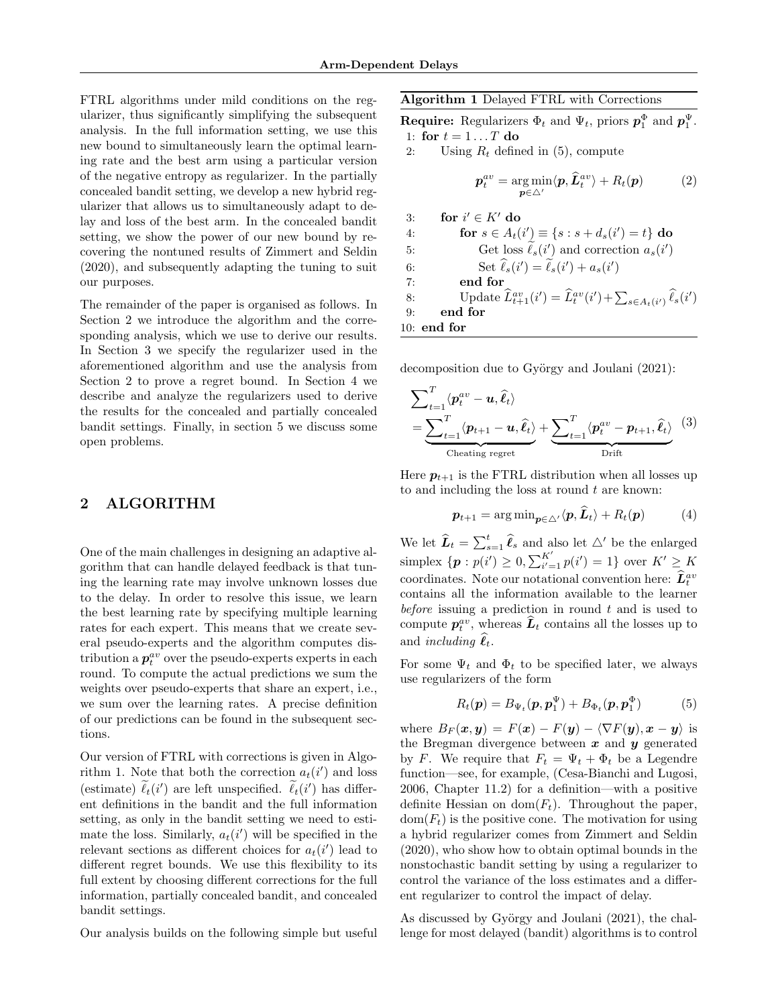FTRL algorithms under mild conditions on the regularizer, thus significantly simplifying the subsequent analysis. In the full information setting, we use this new bound to simultaneously learn the optimal learning rate and the best arm using a particular version of the negative entropy as regularizer. In the partially concealed bandit setting, we develop a new hybrid regularizer that allows us to simultaneously adapt to delay and loss of the best arm. In the concealed bandit setting, we show the power of our new bound by recovering the nontuned results of [Zimmert and Seldin](#page-9-0) [\(2020\)](#page-9-0), and subsequently adapting the tuning to suit our purposes.

The remainder of the paper is organised as follows. In Section [2](#page-3-0) we introduce the algorithm and the corresponding analysis, which we use to derive our results. In Section [3](#page-4-0) we specify the regularizer used in the aforementioned algorithm and use the analysis from Section [2](#page-3-0) to prove a regret bound. In Section [4](#page-5-0) we describe and analyze the regularizers used to derive the results for the concealed and partially concealed bandit settings. Finally, in section [5](#page-7-0) we discuss some open problems.

# <span id="page-3-0"></span>2 ALGORITHM

One of the main challenges in designing an adaptive algorithm that can handle delayed feedback is that tuning the learning rate may involve unknown losses due to the delay. In order to resolve this issue, we learn the best learning rate by specifying multiple learning rates for each expert. This means that we create several pseudo-experts and the algorithm computes distribution a  $p_t^{av}$  over the pseudo-experts experts in each round. To compute the actual predictions we sum the weights over pseudo-experts that share an expert, i.e., we sum over the learning rates. A precise definition of our predictions can be found in the subsequent sections.

Our version of FTRL with corrections is given in Algo-rithm [1.](#page-3-1) Note that both the correction  $a_t(i')$  and loss (estimate)  $\tilde{\ell}_t(i')$  are left unspecified.  $\tilde{\ell}_t(i')$  has different definitions in the bandit and the full information setting, as only in the bandit setting we need to estimate the loss. Similarly,  $a_t(i')$  will be specified in the relevant sections as different choices for  $a_t(i')$  lead to different regret bounds. We use this flexibility to its full extent by choosing different corrections for the full information, partially concealed bandit, and concealed bandit settings.

Our analysis builds on the following simple but useful

<span id="page-3-1"></span>Algorithm 1 Delayed FTRL with Corrections

**Require:** Regularizers  $\Phi_t$  and  $\Psi_t$ , priors  $p_1^{\Phi}$  and  $p_1^{\Psi}$ . 1: for  $t = 1 \dots T$  do

2: Using  $R_t$  defined in [\(5\)](#page-3-2), compute

$$
\boldsymbol{p}_t^{av} = \underset{\boldsymbol{p} \in \triangle'}{\arg \min} \langle \boldsymbol{p}, \widehat{\boldsymbol{L}}_t^{av} \rangle + R_t(\boldsymbol{p}) \tag{2}
$$

3: **for** 
$$
i' \in K'
$$
 **do**  
\n4: **for**  $s \in A_t(i') \equiv \{s : s + d_s(i') = t\}$  **do**  
\n5: **Get** loss  $\tilde{\ell}_s(i')$  and correction  $a_s(i')$   
\n6: **Set**  $\hat{\ell}_s(i') = \tilde{\ell}_s(i') + a_s(i')$   
\n7: **end for**  
\n8: **Update**  $\hat{L}_{t+1}^{av}(i') = \hat{L}_t^{av}(i') + \sum_{s \in A_t(i')} \hat{\ell}_s(i')$   
\n9: **end for**  
\n10: **end for**

decomposition due to György and Joulani  $(2021)$ :

<span id="page-3-4"></span>
$$
\sum_{t=1}^{T} \langle p_t^{av} - u, \hat{\ell}_t \rangle
$$
  
= 
$$
\underbrace{\sum_{t=1}^{T} \langle p_{t+1} - u, \hat{\ell}_t \rangle}_{\text{Checking regret}} + \underbrace{\sum_{t=1}^{T} \langle p_t^{av} - p_{t+1}, \hat{\ell}_t \rangle}_{\text{Drift}} \tag{3}
$$

Here  $p_{t+1}$  is the FTRL distribution when all losses up to and including the loss at round  $t$  are known:

<span id="page-3-3"></span>
$$
\boldsymbol{p}_{t+1} = \arg \min_{\boldsymbol{p} \in \triangle'} \langle \boldsymbol{p}, \boldsymbol{L}_t \rangle + R_t(\boldsymbol{p}) \tag{4}
$$

We let  $\widehat{L}_t = \sum_{s=1}^t \widehat{\ell}_s$  and also let  $\triangle'$  be the enlarged simplex  $\{p : p(i') \ge 0, \sum_{i'=1}^{K'} p(i') = 1\}$  over  $K' \ge K$ coordinates. Note our notational convention here:  $\hat{L}_t^{av}$ contains all the information available to the learner before issuing a prediction in round  $t$  and is used to compute  $p_t^{av}$ , whereas  $\hat{L}_t$  contains all the losses up to and *including*  $\ell_t$ .

For some  $\Psi_t$  and  $\Phi_t$  to be specified later, we always use regularizers of the form

<span id="page-3-2"></span>
$$
R_t(\mathbf{p}) = B_{\Psi_t}(\mathbf{p}, \mathbf{p}_1^{\Psi}) + B_{\Phi_t}(\mathbf{p}, \mathbf{p}_1^{\Phi})
$$
(5)

where  $B_F(x, y) = F(x) - F(y) - \langle \nabla F(y), x - y \rangle$  is the Bregman divergence between  $x$  and  $y$  generated by F. We require that  $F_t = \Psi_t + \Phi_t$  be a Legendre function—see, for example, [\(Cesa-Bianchi and Lugosi,](#page-8-16) [2006,](#page-8-16) Chapter 11.2) for a definition—with a positive definite Hessian on  $dom(F_t)$ . Throughout the paper,  $dom(F_t)$  is the positive cone. The motivation for using a hybrid regularizer comes from [Zimmert and Seldin](#page-9-0) [\(2020\)](#page-9-0), who show how to obtain optimal bounds in the nonstochastic bandit setting by using a regularizer to control the variance of the loss estimates and a different regularizer to control the impact of delay.

As discussed by György and Joulani (2021), the challenge for most delayed (bandit) algorithms is to control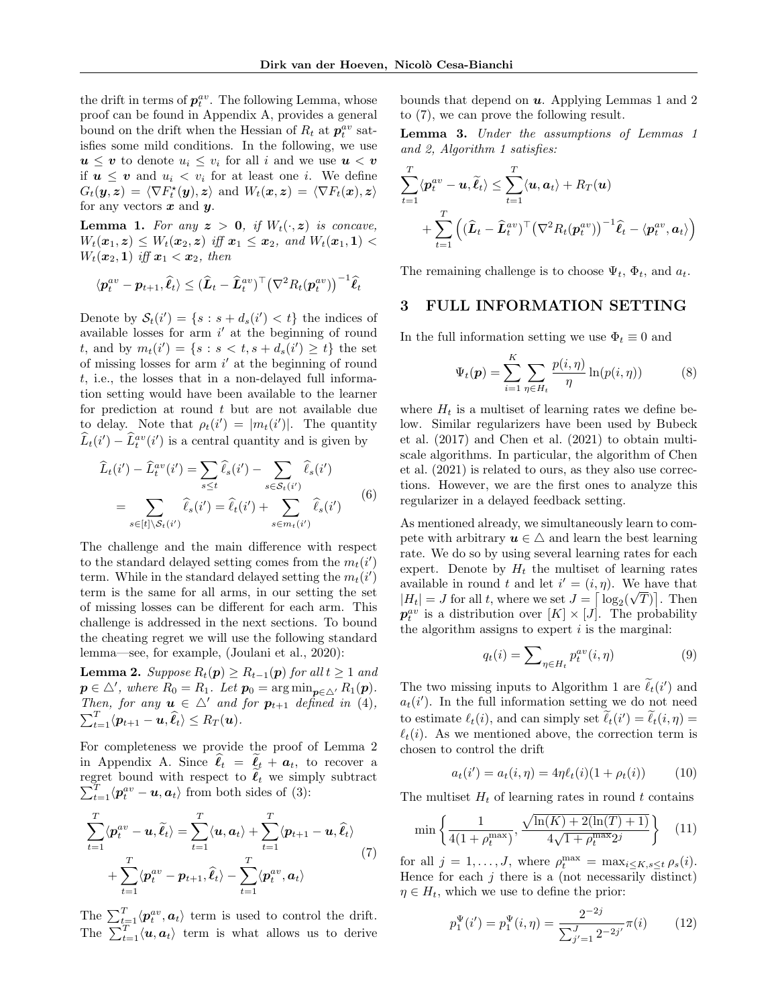the drift in terms of  $p_t^{av}$ . The following Lemma, whose proof can be found in Appendix [A,](#page-10-0) provides a general bound on the drift when the Hessian of  $R_t$  at  $p_t^{av}$  satisfies some mild conditions. In the following, we use  $u \leq v$  to denote  $u_i \leq v_i$  for all i and we use  $u < v$ if  $u \leq v$  and  $u_i < v_i$  for at least one *i*. We define  $G_t(\bm{y}, \bm{z}) \,=\, \langle \nabla F_t^{\star}(\bm{y}), \bm{z} \rangle \, \text{ and } \, W_t(\bm{x}, \bm{z}) \,=\, \langle \nabla F_t(\bm{x}), \bm{z} \rangle$ for any vectors  $x$  and  $y$ .

<span id="page-4-2"></span>**Lemma 1.** For any  $z > 0$ , if  $W_t(\cdot, z)$  is concave,  $W_t(\bm{x}_1, \bm{z}) \leq W_t(\bm{x}_2, \bm{z}) \text{ iff } \bm{x}_1 \leq \bm{x}_2, \text{ and } W_t(\bm{x}_1, \bm{1}) <$  $W_t(\boldsymbol{x}_2,1)$  iff  $\boldsymbol{x}_1 < \boldsymbol{x}_2$ , then

$$
\langle \boldsymbol{p}_t^{av} - \boldsymbol{p}_{t+1}, \widehat{\ell}_t \rangle \leq (\widehat{\boldsymbol{L}}_t - \widehat{\boldsymbol{L}}_t^{av})^\top \big(\nabla^2 R_t(\boldsymbol{p}_t^{av})\big)^{-1} \widehat{\ell}_t
$$

Denote by  $S_t(i') = \{s : s + d_s(i') < t\}$  the indices of available losses for arm  $i'$  at the beginning of round t, and by  $m_t(i') = \{ s : s < t, s + d_s(i') \ge t \}$  the set of missing losses for arm  $i'$  at the beginning of round t, i.e., the losses that in a non-delayed full information setting would have been available to the learner for prediction at round  $t$  but are not available due to delay. Note that  $\rho_t(i') = |m_t(i')|$ . The quantity  $\widehat{L}_t(i') - \widehat{L}_t^{av}(i')$  is a central quantity and is given by

<span id="page-4-10"></span>
$$
\widehat{L}_t(i') - \widehat{L}_t^{av}(i') = \sum_{s \le t} \widehat{\ell}_s(i') - \sum_{s \in S_t(i')} \widehat{\ell}_s(i')
$$
\n
$$
= \sum_{s \in [t] \setminus S_t(i')} \widehat{\ell}_s(i') = \widehat{\ell}_t(i') + \sum_{s \in m_t(i')} \widehat{\ell}_s(i')
$$
\n(6)

The challenge and the main difference with respect to the standard delayed setting comes from the  $m_t(i')$ term. While in the standard delayed setting the  $m_t(i')$ term is the same for all arms, in our setting the set of missing losses can be different for each arm. This challenge is addressed in the next sections. To bound the cheating regret we will use the following standard lemma—see, for example, [\(Joulani et al., 2020\)](#page-9-20):

<span id="page-4-1"></span>**Lemma 2.** Suppose  $R_t(p) \geq R_{t-1}(p)$  for all  $t \geq 1$  and  $p \in \triangle'$ , where  $R_0 = R_1$ . Let  $p_0 = \arg \min_{p \in \triangle'} R_1(p)$ . Then, for any  $u \in \triangle'$  and for  $p_{t+1}$  defined in [\(4\)](#page-3-3),  $\sum_{t=1}^T \langle p_{t+1} - \boldsymbol{u}, \widehat{\ell}_t \rangle \le R_T(\boldsymbol{u}).$ 

For completeness we provide the proof of Lemma [2](#page-4-1) in Appendix [A.](#page-10-0) Since  $\hat{\ell}_t = \hat{\ell}_t + a_t$ , to recover a regret bound with respect to  $\tilde{\ell}_t$  we simply subtract  $\sum_{t=1}^{T} \langle \boldsymbol{p}_t^{av} - \boldsymbol{u}, \boldsymbol{a}_t \rangle$  from both sides of [\(3\)](#page-3-4):

<span id="page-4-3"></span>
$$
\sum_{t=1}^{T} \langle p_t^{av} - u, \tilde{\ell}_t \rangle = \sum_{t=1}^{T} \langle u, a_t \rangle + \sum_{t=1}^{T} \langle p_{t+1} - u, \hat{\ell}_t \rangle
$$
  
+ 
$$
\sum_{t=1}^{T} \langle p_t^{av} - p_{t+1}, \hat{\ell}_t \rangle - \sum_{t=1}^{T} \langle p_t^{av}, a_t \rangle
$$
(7)

The  $\sum_{t=1}^{T} \langle \boldsymbol{p}_t^{av}, \boldsymbol{a}_t \rangle$  term is used to control the drift. The  $\sum_{t=1}^{T} \langle u, a_t \rangle$  term is what allows us to derive bounds that depend on  $u$ . Applying Lemmas [1](#page-4-2) and [2](#page-4-1) to [\(7\)](#page-4-3), we can prove the following result.

<span id="page-4-8"></span>Lemma 3. Under the assumptions of Lemmas [1](#page-4-2) and [2,](#page-4-1) Algorithm [1](#page-3-1) satisfies:

$$
\sum_{t=1}^T \langle \boldsymbol{p}_t^{av} - \boldsymbol{u}, \widetilde{\boldsymbol{\ell}}_t \rangle \le \sum_{t=1}^T \langle \boldsymbol{u}, \boldsymbol{a}_t \rangle + R_T(\boldsymbol{u}) + \sum_{t=1}^T \left( (\widehat{\boldsymbol{L}}_t - \widehat{\boldsymbol{L}}_t^{av})^\top (\nabla^2 R_t(\boldsymbol{p}_t^{av}))^{-1} \widehat{\boldsymbol{\ell}}_t - \langle \boldsymbol{p}_t^{av}, \boldsymbol{a}_t \rangle \right)
$$

The remaining challenge is to choose  $\Psi_t$ ,  $\Phi_t$ , and  $a_t$ .

### <span id="page-4-0"></span>3 FULL INFORMATION SETTING

In the full information setting we use  $\Phi_t \equiv 0$  and

<span id="page-4-4"></span>
$$
\Psi_t(\mathbf{p}) = \sum_{i=1}^K \sum_{\eta \in H_t} \frac{p(i,\eta)}{\eta} \ln(p(i,\eta)) \tag{8}
$$

where  $H_t$  is a multiset of learning rates we define below. Similar regularizers have been used by [Bubeck](#page-8-23) [et al. \(2017\)](#page-8-23) and [Chen et al. \(2021\)](#page-8-19) to obtain multiscale algorithms. In particular, the algorithm of [Chen](#page-8-19) [et al. \(2021\)](#page-8-19) is related to ours, as they also use corrections. However, we are the first ones to analyze this regularizer in a delayed feedback setting.

As mentioned already, we simultaneously learn to compete with arbitrary  $u \in \Delta$  and learn the best learning rate. We do so by using several learning rates for each expert. Denote by  $H_t$  the multiset of learning rates available in round t and let  $i' = (i, \eta)$ . We have that  $|H_t| = J$  for all t, where we set  $J = \lceil \log_2(\sqrt{T}) \rceil$ . Then  $p_t^{av}$  is a distribution over  $[K] \times [J]$ . The probability the algorithm assigns to expert  $i$  is the marginal:

<span id="page-4-7"></span>
$$
q_t(i) = \sum_{\eta \in H_t} p_t^{av}(i, \eta) \tag{9}
$$

The two missing inputs to Algorithm [1](#page-3-1) are  $\ell_t(i')$  and  $(i')$ .  $a_t(i')$ . In the full information setting we do not need to estimate  $\ell_t(i)$ , and can simply set  $\tilde{\ell}_t(i') = \tilde{\ell}_t(i, \eta) =$  $\ell_t(i)$ . As we mentioned above, the correction term is chosen to control the drift

<span id="page-4-5"></span>
$$
a_t(i') = a_t(i, \eta) = 4\eta \ell_t(i)(1 + \rho_t(i))
$$
 (10)

The multiset  $H_t$  of learning rates in round t contains

<span id="page-4-9"></span>
$$
\min\left\{\frac{1}{4(1+\rho_t^{\max})}, \frac{\sqrt{\ln(K) + 2(\ln(T) + 1)}}{4\sqrt{1 + \rho_t^{\max}2^j}}\right\} (11)
$$

for all  $j = 1, ..., J$ , where  $\rho_t^{\max} = \max_{i \leq K, s \leq t} \rho_s(i)$ . Hence for each  $j$  there is a (not necessarily distinct)  $\eta \in H_t$ , which we use to define the prior:

<span id="page-4-6"></span>
$$
p_1^{\Psi}(i') = p_1^{\Psi}(i, \eta) = \frac{2^{-2j}}{\sum_{j'=1}^{J} 2^{-2j'}} \pi(i) \qquad (12)
$$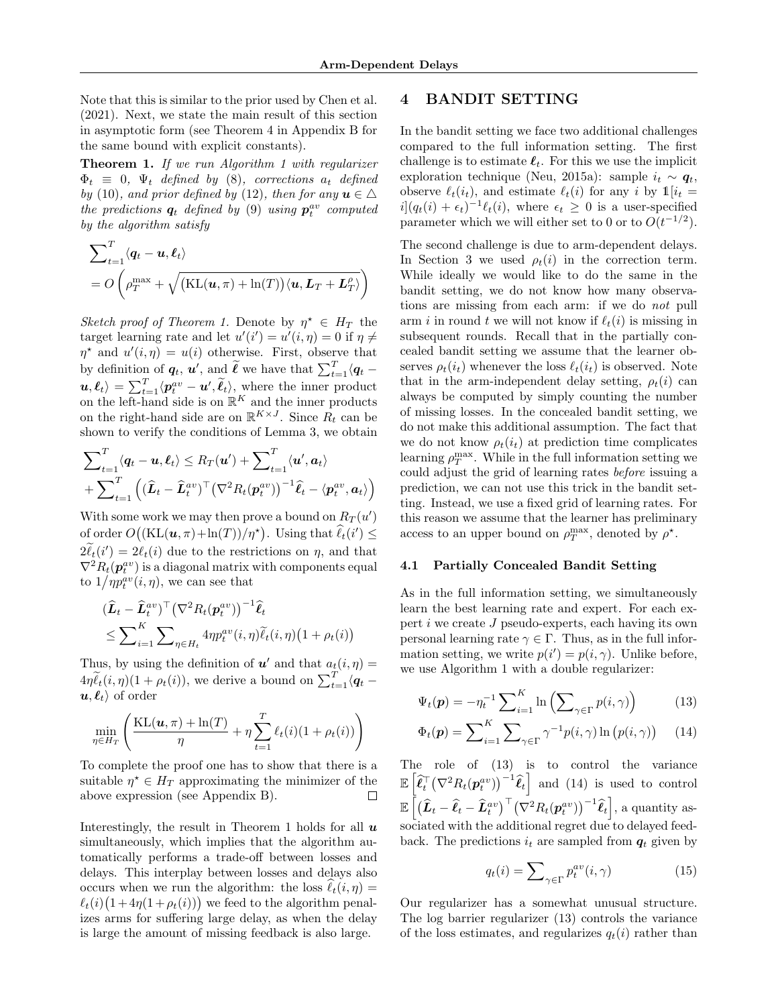Note that this is similar to the prior used by [Chen et al.](#page-8-19) [\(2021\)](#page-8-19). Next, we state the main result of this section in asymptotic form (see Theorem [4](#page-12-0) in Appendix [B](#page-12-1) for the same bound with explicit constants).

<span id="page-5-1"></span>Theorem [1](#page-3-1). If we run Algorithm 1 with regularizer  $\Phi_t \equiv 0$ ,  $\Psi_t$  defined by [\(8\)](#page-4-4), corrections  $a_t$  defined by [\(10\)](#page-4-5), and prior defined by [\(12\)](#page-4-6), then for any  $u \in \Delta$ the predictions  $q_t$  defined by [\(9\)](#page-4-7) using  $p_t^{av}$  computed by the algorithm satisfy

$$
\sum_{t=1}^{T} \langle \mathbf{q}_t - \mathbf{u}, \boldsymbol{\ell}_t \rangle
$$
  
=  $O\left(\rho_T^{\max} + \sqrt{(\text{KL}(\mathbf{u}, \pi) + \ln(T)) \langle \mathbf{u}, \mathbf{L}_T + \mathbf{L}_T^{\rho} \rangle}\right)$ 

Sketch proof of Theorem [1.](#page-5-1) Denote by  $\eta^* \in H_T$  the target learning rate and let  $u'(i') = u'(i, \eta) = 0$  if  $\eta \neq$  $\eta^*$  and  $u'(i, \eta) = u(i)$  otherwise. First, observe that by definition of  $q_t$ ,  $u'$ , and  $\widetilde{\ell}$  we have that  $\sum_{t=1}^T \langle q_t - \ell \rangle$  $\langle \boldsymbol{u}, \boldsymbol{\ell}_t \rangle = \sum_{t=1}^T \langle \boldsymbol{p}_t^{av} - \boldsymbol{u}', \tilde{\boldsymbol{\ell}}_t \rangle$ , where the inner product on the left-hand side is on  $\mathbb{R}^K$  and the inner products on the right-hand side are on  $\mathbb{R}^{K \times J}$ . Since  $R_t$  can be shown to verify the conditions of Lemma [3,](#page-4-8) we obtain

$$
\sum_{t=1}^{T} \langle \mathbf{q}_t - \mathbf{u}, \mathbf{\ell}_t \rangle \leq R_T(\mathbf{u}') + \sum_{t=1}^{T} \langle \mathbf{u}', \mathbf{a}_t \rangle
$$
  
+ 
$$
\sum_{t=1}^{T} \left( (\widehat{\mathbf{L}}_t - \widehat{\mathbf{L}}_t^{av})^{\top} (\nabla^2 R_t(\mathbf{p}_t^{av}))^{-1} \widehat{\mathbf{\ell}}_t - \langle \mathbf{p}_t^{av}, \mathbf{a}_t \rangle \right)
$$

With some work we may then prove a bound on  $R_T(u')$ of order  $O((KL(\boldsymbol{u}, \pi) + \ln(T))/\eta^*)$ . Using that  $\widehat{\ell}_t(i') \leq$  $2\tilde{\ell}_t(i') = 2\ell_t(i)$  due to the restrictions on  $\eta$ , and that  $\nabla^2 R_t(\boldsymbol{p}_t^{av})$  is a diagonal matrix with components equal to  $1/p_t^{av}(i, \eta)$ , we can see that

$$
\begin{aligned} & (\widehat{\boldsymbol{L}}_t - \widehat{\boldsymbol{L}}_t^{av})^\top \big(\nabla^2 R_t(\boldsymbol{p}_t^{av})\big)^{-1} \widehat{\boldsymbol{\ell}}_t \\ &\le \sum\nolimits_{i=1}^K \sum\nolimits_{\eta \in H_t} 4\eta p_t^{av}(i, \eta) \widetilde{\ell}_t(i, \eta) \big(1 + \rho_t(i)\big) \end{aligned}
$$

Thus, by using the definition of  $u'$  and that  $a_t(i, \eta) =$  $4\eta \tilde{\ell}_t(i,\eta)(1+\rho_t(i))$ , we derive a bound on  $\sum_{t=1}^T \langle q_t - \eta_t(i) \rangle$  $\langle u, \ell_t \rangle$  of order

$$
\min_{\eta \in H_T} \left( \frac{\mathrm{KL}(\boldsymbol{u}, \pi) + \ln(T)}{\eta} + \eta \sum_{t=1}^T \ell_t(i) (1 + \rho_t(i)) \right)
$$

To complete the proof one has to show that there is a suitable  $\eta^* \in H_T$  approximating the minimizer of the above expression (see Appendix [B\)](#page-12-1).  $\Box$ 

Interestingly, the result in Theorem [1](#page-5-1) holds for all  $\boldsymbol{u}$ simultaneously, which implies that the algorithm automatically performs a trade-off between losses and delays. This interplay between losses and delays also occurs when we run the algorithm: the loss  $\hat{\ell}_t(i, \eta) =$  $\ell_t(i) (1 + 4\eta(1 + \rho_t(i)))$  we feed to the algorithm penalizes arms for suffering large delay, as when the delay is large the amount of missing feedback is also large.

### <span id="page-5-0"></span>4 BANDIT SETTING

In the bandit setting we face two additional challenges compared to the full information setting. The first challenge is to estimate  $\ell_t$ . For this we use the implicit exploration technique [\(Neu, 2015a\)](#page-9-21): sample  $i_t \sim q_t$ , observe  $\ell_t(i_t)$ , and estimate  $\ell_t(i)$  for any i by  $\mathbb{1}[i_t =$  $i(q_t(i) + \epsilon_t)^{-1}\ell_t(i)$ , where  $\epsilon_t \geq 0$  is a user-specified parameter which we will either set to 0 or to  $O(t^{-1/2})$ .

The second challenge is due to arm-dependent delays. In Section [3](#page-4-0) we used  $\rho_t(i)$  in the correction term. While ideally we would like to do the same in the bandit setting, we do not know how many observations are missing from each arm: if we do not pull arm i in round t we will not know if  $\ell_t(i)$  is missing in subsequent rounds. Recall that in the partially concealed bandit setting we assume that the learner observes  $\rho_t(i_t)$  whenever the loss  $\ell_t(i_t)$  is observed. Note that in the arm-independent delay setting,  $\rho_t(i)$  can always be computed by simply counting the number of missing losses. In the concealed bandit setting, we do not make this additional assumption. The fact that we do not know  $\rho_t(i_t)$  at prediction time complicates learning  $\rho_T^{\text{max}}$ . While in the full information setting we could adjust the grid of learning rates before issuing a prediction, we can not use this trick in the bandit setting. Instead, we use a fixed grid of learning rates. For this reason we assume that the learner has preliminary access to an upper bound on  $\rho_T^{\text{max}}$ , denoted by  $\rho^*$ .

#### <span id="page-5-5"></span>4.1 Partially Concealed Bandit Setting

As in the full information setting, we simultaneously learn the best learning rate and expert. For each expert  $i$  we create  $J$  pseudo-experts, each having its own personal learning rate  $\gamma \in \Gamma$ . Thus, as in the full information setting, we write  $p(i') = p(i, \gamma)$ . Unlike before, we use Algorithm [1](#page-3-1) with a double regularizer:

<span id="page-5-2"></span>
$$
\Psi_t(\mathbf{p}) = -\eta_t^{-1} \sum_{i=1}^K \ln \left( \sum_{\gamma \in \Gamma} p(i, \gamma) \right) \tag{13}
$$

$$
\Phi_t(\mathbf{p}) = \sum_{i=1}^K \sum_{\gamma \in \Gamma} \gamma^{-1} p(i, \gamma) \ln (p(i, \gamma)) \qquad (14)
$$

The role of [\(13\)](#page-5-2) is to control the variance  $\mathbb{E}\left[\widehat{\ell}_t^{\top}(\nabla^2{R}_t(\boldsymbol{p}_t^{av}))^{-1}\widehat{\ell}_t\right]$  and [\(14\)](#page-5-3) is used to control  $\mathbb{E}\left[\big(\widehat{\bm{L}}_t-\widehat{\bm{\ell}}_t-\widehat{\bm{L}}_t^{av}\big)^{\top}\big(\nabla^2{R}_t(\bm{p}_t^{av})\big)^{-1}\widehat{\bm{\ell}}_t\right]$ , a quantity associated with the additional regret due to delayed feedback. The predictions  $i_t$  are sampled from  $q_t$  given by

<span id="page-5-4"></span><span id="page-5-3"></span>
$$
q_t(i) = \sum_{\gamma \in \Gamma} p_t^{av}(i, \gamma) \tag{15}
$$

Our regularizer has a somewhat unusual structure. The log barrier regularizer [\(13\)](#page-5-2) controls the variance of the loss estimates, and regularizes  $q_t(i)$  rather than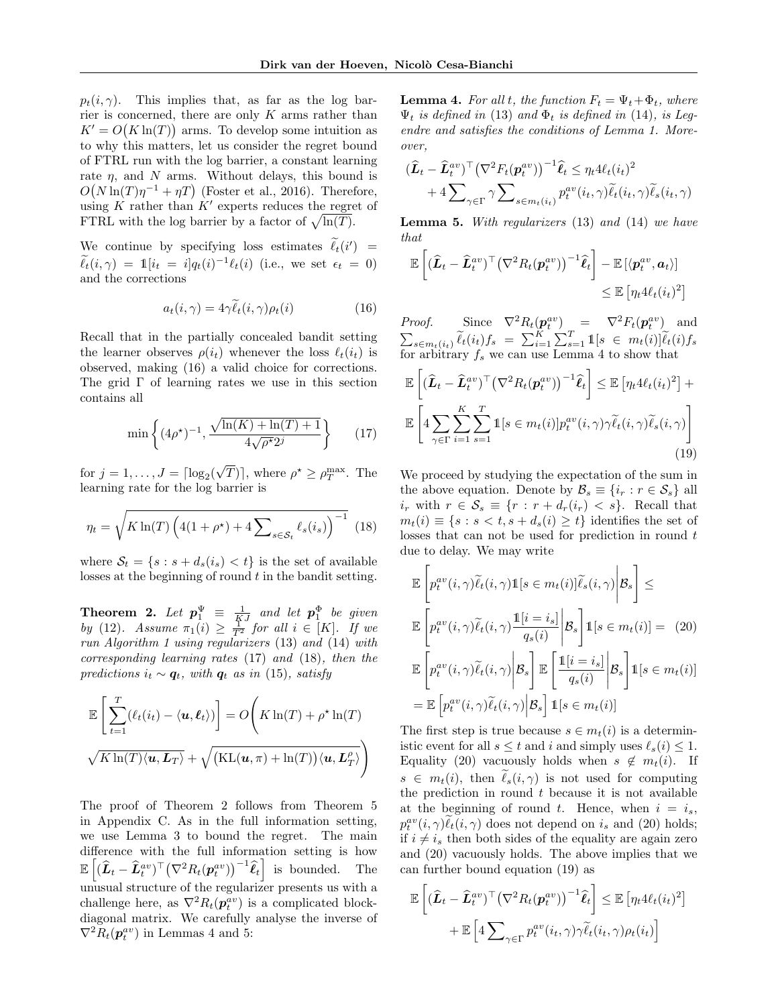$p_t(i, \gamma)$ . This implies that, as far as the log barrier is concerned, there are only  $K$  arms rather than  $K' = O(K \ln(T))$  arms. To develop some intuition as to why this matters, let us consider the regret bound of FTRL run with the log barrier, a constant learning rate  $\eta$ , and N arms. Without delays, this bound is  $O(N \ln(T) \eta^{-1} + \eta T)$  [\(Foster et al., 2016\)](#page-8-21). Therefore, using K rather than  $K'$  experts reduces the regret of FTRL with the log barrier by a factor of  $\sqrt{\ln(T)}$ .

We continue by specifying loss estimates  $\ell_t(i') = \widetilde{\zeta}$  $\widetilde{\ell}_t(i, \gamma) = \mathbb{1}[i_t = i]q_t(i)^{-1}\ell_t(i)$  (i.e., we set  $\epsilon_t = 0$ ) and the corrections

<span id="page-6-0"></span>
$$
a_t(i,\gamma) = 4\gamma \tilde{\ell}_t(i,\gamma)\rho_t(i) \tag{16}
$$

Recall that in the partially concealed bandit setting the learner observes  $\rho(i_t)$  whenever the loss  $\ell_t(i_t)$  is observed, making [\(16\)](#page-6-0) a valid choice for corrections. The grid  $\Gamma$  of learning rates we use in this section contains all

<span id="page-6-1"></span>
$$
\min\left\{ (4\rho^*)^{-1}, \frac{\sqrt{\ln(K) + \ln(T) + 1}}{4\sqrt{\rho^*}2^j} \right\} \tag{17}
$$

for  $j = 1, ..., J = \lceil \log_2(\frac{1}{2}) \rceil$ √  $\overline{T})$ , where  $\rho^* \geq \rho_T^{\max}$ . The learning rate for the log barrier is

<span id="page-6-2"></span>
$$
\eta_t = \sqrt{K \ln(T) \left( 4(1 + \rho^*) + 4 \sum_{s \in \mathcal{S}_t} \ell_s(i_s) \right)^{-1}} \tag{18}
$$

where  $S_t = \{s : s + d_s(i_s) < t\}$  is the set of available losses at the beginning of round  $t$  in the bandit setting.

<span id="page-6-3"></span>**Theorem 2.** Let  $p_1^{\Psi} \equiv \frac{1}{KJ}$  and let  $p_1^{\Phi}$  be given by [\(12\)](#page-4-6). Assume  $\pi_1(i) \geq \frac{1}{T^2}$  for all  $i \in [K]$ . If we run Algorithm [1](#page-3-1) using regularizers [\(13\)](#page-5-2) and [\(14\)](#page-5-3) with corresponding learning rates [\(17\)](#page-6-1) and [\(18\)](#page-6-2), then the predictions  $i_t \sim q_t$ , with  $q_t$  as in [\(15\)](#page-5-4), satisfy

$$
\mathbb{E}\left[\sum_{t=1}^{T}(\ell_t(i_t) - \langle \mathbf{u}, \boldsymbol{\ell}_t \rangle)\right] = O\left(K\ln(T) + \rho^* \ln(T)\right)
$$

$$
\sqrt{K\ln(T)\langle \mathbf{u}, \boldsymbol{L}_T \rangle} + \sqrt{\left(\text{KL}(\mathbf{u}, \pi) + \ln(T)\right)\langle \mathbf{u}, \boldsymbol{L}_T^{\rho} \rangle}\right)
$$

The proof of Theorem [2](#page-6-3) follows from Theorem [5](#page-18-0) in Appendix [C.](#page-15-0) As in the full information setting, we use Lemma [3](#page-4-8) to bound the regret. The main difference with the full information setting is how  $\mathbb{E}\left[ (\widehat{\bm{L}}_t - \widehat{\bm{L}}_t^{av})^\top (\nabla^2 R_t(\bm{p}_t^{av}))^{-1} \widehat{\bm{\ell}}_t \right]$  is bounded. The unusual structure of the regularizer presents us with a challenge here, as  $\nabla^2 R_t(\boldsymbol{p}_t^{av})$  is a complicated blockdiagonal matrix. We carefully analyse the inverse of  $\nabla^2 R_t(\boldsymbol{p}_t^{av})$  in Lemmas [4](#page-6-4) and [5:](#page-6-5)

<span id="page-6-4"></span>**Lemma 4.** For all t, the function  $F_t = \Psi_t + \Phi_t$ , where  $\Psi_t$  is defined in [\(13\)](#page-5-2) and  $\Phi_t$  is defined in [\(14\)](#page-5-3), is Legendre and satisfies the conditions of Lemma [1.](#page-4-2) Moreover,

$$
(\hat{L}_t - \hat{L}_t^{av})^{\top} (\nabla^2 F_t(p_t^{av}))^{-1} \hat{\ell}_t \leq \eta_t 4\ell_t(i_t)^2 + 4 \sum_{\gamma \in \Gamma} \gamma \sum_{s \in m_t(i_t)} p_t^{av}(i_t, \gamma) \tilde{\ell}_t(i_t, \gamma) \tilde{\ell}_s(i_t, \gamma)
$$

<span id="page-6-5"></span>**Lemma 5.** With regularizers  $(13)$  and  $(14)$  we have that

$$
\mathbb{E}\left[ (\widehat{\boldsymbol{L}}_t - \widehat{\boldsymbol{L}}_t^{av})^\top (\nabla^2 R_t(\boldsymbol{p}_t^{av}))^{-1} \widehat{\boldsymbol{\ell}}_t \right] - \mathbb{E}\left[ \langle \boldsymbol{p}_t^{av}, \boldsymbol{a}_t \rangle \right] \leq \mathbb{E}\left[ \eta_t 4\ell_t (i_t)^2 \right]
$$

*Proof.* Since  $\nabla^2 R_t(\boldsymbol{p}_t^{av}) = \nabla^2 F_t(\boldsymbol{p}_t^{av})$  and  $\sum_{s \in m_t(i_t)} \widetilde{\ell}_t(i_t) f_s = \sum_{i=1}^K \sum_{s=1}^T \mathbb{1}[s \in m_t(i)] \widetilde{\ell}_t(i) f_s$ for arbitrary  $f_s$  we can use Lemma [4](#page-6-4) to show that

$$
\mathbb{E}\left[ (\widehat{L}_t - \widehat{L}_t^{av})^\top \left(\nabla^2 R_t(p_t^{av})\right)^{-1} \widehat{\ell}_t \right] \leq \mathbb{E}\left[ \eta_t 4\ell_t(i_t)^2 \right] + \mathbb{E}\left[ 4 \sum_{\gamma \in \Gamma} \sum_{i=1}^K \sum_{s=1}^T \mathbb{1}[s \in m_t(i)] p_t^{av}(i, \gamma) \gamma \widetilde{\ell}_t(i, \gamma) \widetilde{\ell}_s(i, \gamma) \right]
$$
\n(19)

<span id="page-6-7"></span>We proceed by studying the expectation of the sum in the above equation. Denote by  $\mathcal{B}_s \equiv \{i_r : r \in \mathcal{S}_s\}$  all  $i_r$  with  $r \in \mathcal{S}_s \equiv \{r : r + d_r(i_r) < s\}$ . Recall that  $m_t(i) \equiv \{s : s < t, s + d_s(i) \geq t\}$  identifies the set of losses that can not be used for prediction in round  $t$ due to delay. We may write

<span id="page-6-6"></span>
$$
\mathbb{E}\left[p_t^{av}(i,\gamma)\widetilde{\ell}_t(i,\gamma)\mathbb{1}[s \in m_t(i)]\widetilde{\ell}_s(i,\gamma)\middle| \mathcal{B}_s\right] \le
$$
\n
$$
\mathbb{E}\left[p_t^{av}(i,\gamma)\widetilde{\ell}_t(i,\gamma)\frac{\mathbb{1}[i=i_s]}{q_s(i)}\middle| \mathcal{B}_s\right]\mathbb{1}[s \in m_t(i)] = (20)
$$
\n
$$
\mathbb{E}\left[p_t^{av}(i,\gamma)\widetilde{\ell}_t(i,\gamma)\middle| \mathcal{B}_s\right]\mathbb{E}\left[\frac{\mathbb{1}[i=i_s]}{q_s(i)}\middle| \mathcal{B}_s\right]\mathbb{1}[s \in m_t(i)]
$$
\n
$$
= \mathbb{E}\left[p_t^{av}(i,\gamma)\widetilde{\ell}_t(i,\gamma)\middle| \mathcal{B}_s\right]\mathbb{1}[s \in m_t(i)]
$$

The first step is true because  $s \in m_t(i)$  is a deterministic event for all  $s \leq t$  and i and simply uses  $\ell_s(i) \leq 1$ . Equality [\(20\)](#page-6-6) vacuously holds when  $s \notin m_t(i)$ . If  $s \in m_t(i)$ , then  $\ell_s(i, \gamma)$  is not used for computing the prediction in round  $t$  because it is not available at the beginning of round t. Hence, when  $i = i_s$ ,  $p_t^{av}(i, \gamma)\tilde{\ell}_t(i, \gamma)$  does not depend on  $i_s$  and [\(20\)](#page-6-6) holds; if  $i \neq i_s$  then both sides of the equality are again zero and [\(20\)](#page-6-6) vacuously holds. The above implies that we can further bound equation [\(19\)](#page-6-7) as

$$
\mathbb{E}\left[ (\widehat{L}_t - \widehat{L}_t^{av})^\top (\nabla^2 R_t(\mathbf{p}_t^{av}))^{-1} \widehat{\ell}_t \right] \leq \mathbb{E}\left[ \eta_t 4\ell_t (i_t)^2 \right] + \mathbb{E}\left[ 4 \sum_{\gamma \in \Gamma} p_t^{av}(i_t, \gamma) \gamma \widetilde{\ell}_t (i_t, \gamma) \rho_t (i_t) \right]
$$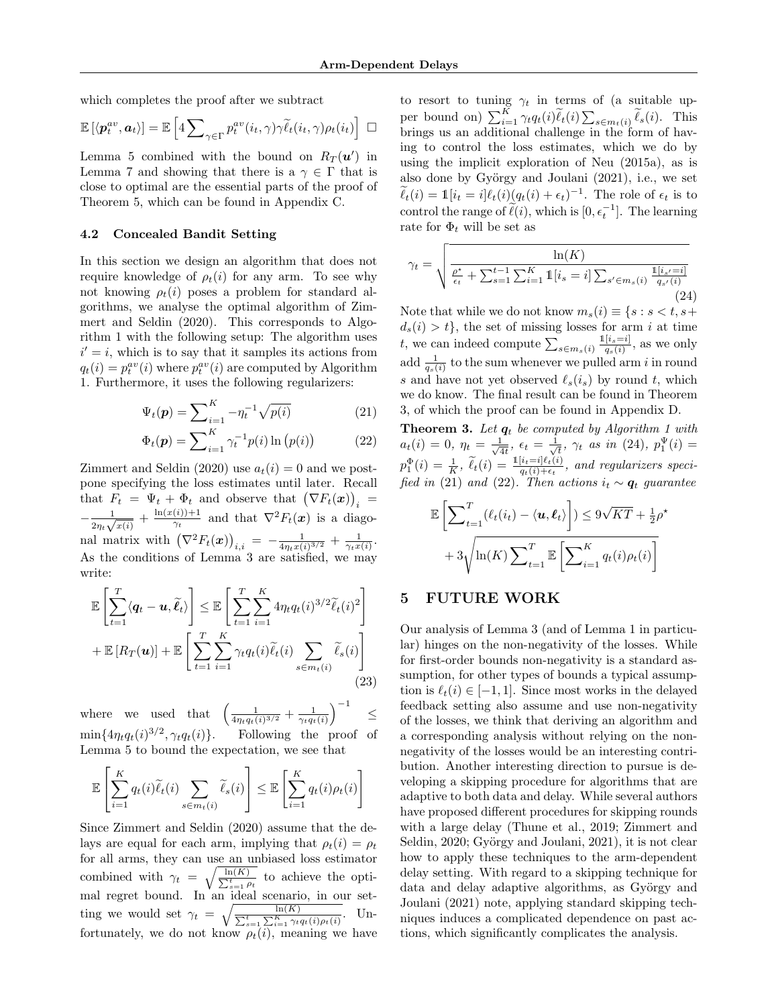which completes the proof after we subtract

$$
\mathbb{E}\left[\langle \boldsymbol{p}_t^{av}, \boldsymbol{a}_t \rangle\right] = \mathbb{E}\left[4 \sum\nolimits_{\gamma \in \Gamma} p_t^{av}(i_t, \gamma) \gamma \widetilde{\ell}_t(i_t, \gamma) \rho_t(i_t)\right] \ \Box
$$

Lemma [5](#page-6-5) combined with the bound on  $R_T(u')$  in Lemma [7](#page-16-0) and showing that there is a  $\gamma \in \Gamma$  that is close to optimal are the essential parts of the proof of Theorem [5,](#page-18-0) which can be found in Appendix [C.](#page-15-0)

#### <span id="page-7-5"></span>4.2 Concealed Bandit Setting

In this section we design an algorithm that does not require knowledge of  $\rho_t(i)$  for any arm. To see why not knowing  $\rho_t(i)$  poses a problem for standard algorithms, we analyse the optimal algorithm of [Zim](#page-9-0)[mert and Seldin \(2020\)](#page-9-0). This corresponds to Algorithm [1](#page-3-1) with the following setup: The algorithm uses  $i' = i$ , which is to say that it samples its actions from  $q_t(i) = p_t^{av}(i)$  where  $p_t^{av}(i)$  are computed by Algorithm [1.](#page-3-1) Furthermore, it uses the following regularizers:

$$
\Psi_t(\mathbf{p}) = \sum_{i=1}^K -\eta_t^{-1} \sqrt{p(i)} \tag{21}
$$

$$
\Phi_t(\mathbf{p}) = \sum_{i=1}^K \gamma_t^{-1} p(i) \ln (p(i)) \tag{22}
$$

[Zimmert and Seldin \(2020\)](#page-9-0) use  $a_t(i) = 0$  and we postpone specifying the loss estimates until later. Recall that  $F_t = \Psi_t + \Phi_t$  and observe that  $(\nabla F_t(\boldsymbol{x}))_i =$  $-\frac{1}{2}$  $\frac{1}{2\eta_t\sqrt{x(i)}}+\frac{\ln(x(i))+1}{\gamma_t}$  $\frac{(i) + 1}{\gamma_t}$  and that  $\nabla^2 F_t(\boldsymbol{x})$  is a diagonal matrix with  $(\nabla^2 F_t(\bm{x}))_{i,i} = -\frac{1}{4\eta_t x(i)^{3/2}} + \frac{1}{\gamma_t x(i)}$ . As the conditions of Lemma [3](#page-4-8) are satisfied, we may write:

$$
\mathbb{E}\left[\sum_{t=1}^T \langle \boldsymbol{q}_t - \boldsymbol{u}, \widetilde{\ell}_t \rangle \right] \leq \mathbb{E}\left[\sum_{t=1}^T \sum_{i=1}^K 4\eta_t q_t(i)^{3/2} \widetilde{\ell}_t(i)^2 \right] + \mathbb{E}\left[R_T(\boldsymbol{u})\right] + \mathbb{E}\left[\sum_{t=1}^T \sum_{i=1}^K \gamma_t q_t(i) \widetilde{\ell}_t(i) \sum_{s \in m_t(i)} \widetilde{\ell}_s(i)\right]
$$
\n(23)

where we used that  $\left(\frac{1}{4\eta_t q_t(i)^{3/2}} + \frac{1}{\gamma_t q_t(i)}\right)^{-1}$ ≤  $\min\{4\eta_tq_t(i)^{3/2}$ Following the proof of Lemma [5](#page-6-5) to bound the expectation, we see that

$$
\mathbb{E}\left[\sum_{i=1}^K q_t(i)\widetilde{\ell}_t(i)\sum_{s\in m_t(i)}\widetilde{\ell}_s(i)\right] \leq \mathbb{E}\left[\sum_{i=1}^K q_t(i)\rho_t(i)\right]
$$

Since [Zimmert and Seldin \(2020\)](#page-9-0) assume that the delays are equal for each arm, implying that  $\rho_t(i) = \rho_t$ for all arms, they can use an unbiased loss estimator combined with  $\gamma_t = \sqrt{\frac{\ln t}{\sum}}$  $\frac{\ln(K)}{\sum_{s=1}^{t} \rho_t}$  to achieve the optimal regret bound. In an ideal scenario, in our setting we would set  $\gamma_t = \sqrt{\frac{1}{\sum_{i=1}^{n}}$  $\frac{\ln(K)}{\sum_{i=1}^K \sum_{i=1}^K \gamma_t q_t(i) \rho_t(i)}$ . Unfortunately, we do not know  $\rho_t(i)$ , meaning we have

to resort to tuning  $\gamma_t$  in terms of (a suitable upper bound on)  $\sum_{i=1}^{K} \gamma_t q_t(i) \widetilde{\ell}_t(i) \sum_{s \in m_t(i)} \widetilde{\ell}_s(i)$ . This brings us an additional challenge in the form of having to control the loss estimates, which we do by using the implicit exploration of [Neu \(2015a\)](#page-9-21), as is also done by György and Joulani  $(2021)$ , i.e., we set  $\widetilde{\ell}_t(i) = \mathbb{1}[i_t = i] \ell_t(i) (q_t(i) + \epsilon_t)^{-1}$ . The role of  $\epsilon_t$  is to control the range of  $\tilde{\ell}(i)$ , which is  $[0, \epsilon_t^{-1}]$ . The learning rate for  $\Phi_t$  will be set as

<span id="page-7-2"></span>
$$
\gamma_t = \sqrt{\frac{\ln(K)}{\frac{\rho^{\star}}{\epsilon_t} + \sum_{s=1}^{t-1} \sum_{i=1}^K \mathbb{1}[i_s = i] \sum_{s' \in m_s(i)} \frac{\mathbb{1}[i_{s'} = i]}{q_{s'}(i)}}\n\tag{24}}
$$

Note that while we do not know  $m_s(i) \equiv \{s : s < t, s+\}$  $d_s(i) > t$ , the set of missing losses for arm i at time t, we can indeed compute  $\sum_{s \in m_s(i)} \frac{1[i_s=i]}{q_s(i)}$  $\frac{[i_s=i]}{q_s(i)}$ , as we only add  $\frac{1}{q_s(i)}$  to the sum whenever we pulled arm i in round s and have not yet observed  $\ell_s(i_s)$  by round t, which we do know. The final result can be found in Theorem [3,](#page-7-1) of which the proof can be found in Appendix [D.](#page-20-0)

<span id="page-7-4"></span><span id="page-7-3"></span><span id="page-7-1"></span>**Theorem 3.** Let  $q_t$  be computed by Algorithm [1](#page-3-1) with  $a_t(i) = 0, \eta_t = \frac{1}{\sqrt{2}}$  $\frac{1}{4t},\;\epsilon_t=\frac{1}{\sqrt{}}$  $\frac{1}{t}$ ,  $\gamma_t$  as in [\(24\)](#page-7-2),  $p_1^{\Psi}(i) =$  $p_1^{\Phi}(i) = \frac{1}{K}$ ,  $\widetilde{\ell}_t(i) = \frac{1[i_t=i]\ell_t(i)}{q_t(i)+\epsilon_t}$ , and regularizers speci-fied in [\(21\)](#page-7-3) and [\(22\)](#page-7-4). Then actions  $i_t \sim q_t$  guarantee

$$
\mathbb{E}\left[\sum_{t=1}^{T}(\ell_t(i_t) - \langle \mathbf{u}, \boldsymbol{\ell}_t \rangle) \right] \leq 9\sqrt{KT} + \frac{1}{2}\rho^*
$$

$$
+ 3\sqrt{\ln(K) \sum_{t=1}^{T} \mathbb{E}\left[\sum_{i=1}^{K} q_t(i)\rho_t(i)\right]}
$$

#### <span id="page-7-0"></span>5 FUTURE WORK

<span id="page-7-6"></span>Our analysis of Lemma [3](#page-4-8) (and of Lemma [1](#page-4-2) in particular) hinges on the non-negativity of the losses. While for first-order bounds non-negativity is a standard assumption, for other types of bounds a typical assumption is  $\ell_t(i) \in [-1, 1]$ . Since most works in the delayed feedback setting also assume and use non-negativity of the losses, we think that deriving an algorithm and a corresponding analysis without relying on the nonnegativity of the losses would be an interesting contribution. Another interesting direction to pursue is developing a skipping procedure for algorithms that are adaptive to both data and delay. While several authors have proposed different procedures for skipping rounds with a large delay [\(Thune et al., 2019;](#page-9-4) [Zimmert and](#page-9-0) [Seldin, 2020;](#page-9-0) György and Joulani, 2021), it is not clear how to apply these techniques to the arm-dependent delay setting. With regard to a skipping technique for data and delay adaptive algorithms, as György and [Joulani \(2021\)](#page-8-4) note, applying standard skipping techniques induces a complicated dependence on past actions, which significantly complicates the analysis.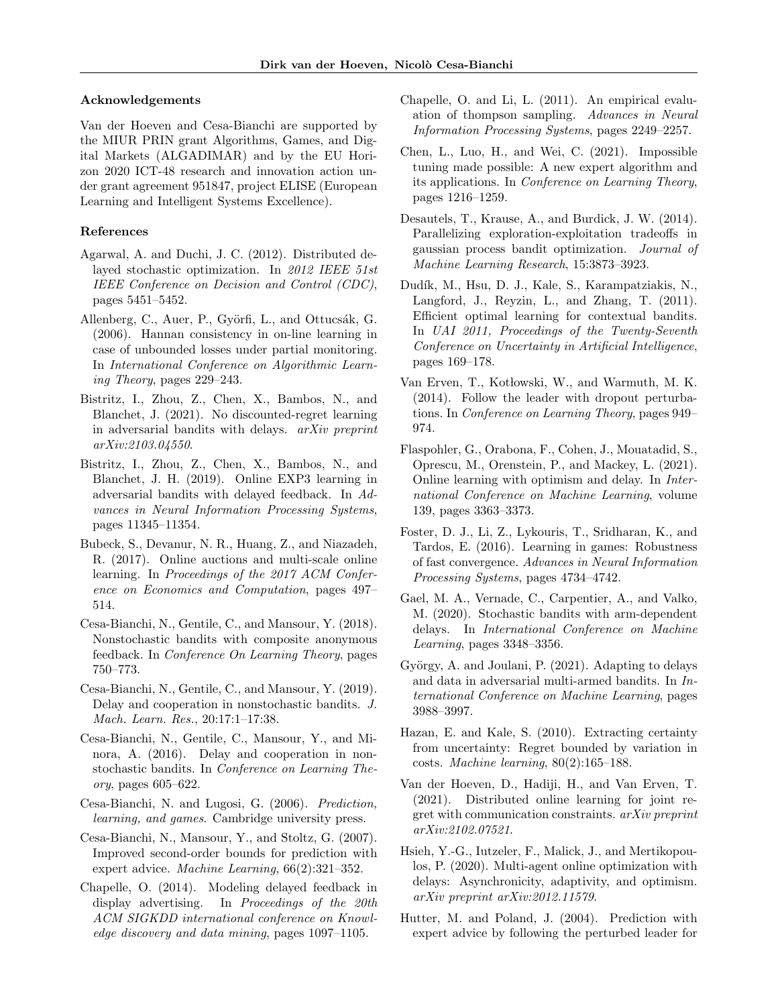#### Acknowledgements

Van der Hoeven and Cesa-Bianchi are supported by the MIUR PRIN grant Algorithms, Games, and Digital Markets (ALGADIMAR) and by the EU Horizon 2020 ICT-48 research and innovation action under grant agreement 951847, project ELISE (European Learning and Intelligent Systems Excellence).

#### References

- <span id="page-8-3"></span>Agarwal, A. and Duchi, J. C. (2012). Distributed delayed stochastic optimization. In 2012 IEEE 51st IEEE Conference on Decision and Control (CDC), pages 5451–5452.
- <span id="page-8-20"></span>Allenberg, C., Auer, P., Györfi, L., and Ottucsák, G. (2006). Hannan consistency in on-line learning in case of unbounded losses under partial monitoring. In International Conference on Algorithmic Learning Theory, pages 229–243.
- <span id="page-8-8"></span>Bistritz, I., Zhou, Z., Chen, X., Bambos, N., and Blanchet, J. (2021). No discounted-regret learning in adversarial bandits with delays. arXiv preprint arXiv:2103.04550.
- <span id="page-8-1"></span>Bistritz, I., Zhou, Z., Chen, X., Bambos, N., and Blanchet, J. H. (2019). Online EXP3 learning in adversarial bandits with delayed feedback. In Advances in Neural Information Processing Systems, pages 11345–11354.
- <span id="page-8-23"></span>Bubeck, S., Devanur, N. R., Huang, Z., and Niazadeh, R. (2017). Online auctions and multi-scale online learning. In Proceedings of the 2017 ACM Conference on Economics and Computation, pages 497– 514.
- <span id="page-8-9"></span>Cesa-Bianchi, N., Gentile, C., and Mansour, Y. (2018). Nonstochastic bandits with composite anonymous feedback. In Conference On Learning Theory, pages 750–773.
- <span id="page-8-7"></span>Cesa-Bianchi, N., Gentile, C., and Mansour, Y. (2019). Delay and cooperation in nonstochastic bandits. J. Mach. Learn. Res., 20:17:1–17:38.
- <span id="page-8-0"></span>Cesa-Bianchi, N., Gentile, C., Mansour, Y., and Minora, A. (2016). Delay and cooperation in nonstochastic bandits. In Conference on Learning Theory, pages 605–622.
- <span id="page-8-16"></span>Cesa-Bianchi, N. and Lugosi, G. (2006). Prediction, learning, and games. Cambridge university press.
- <span id="page-8-17"></span>Cesa-Bianchi, N., Mansour, Y., and Stoltz, G. (2007). Improved second-order bounds for prediction with expert advice. Machine Learning, 66(2):321–352.
- <span id="page-8-14"></span>Chapelle, O. (2014). Modeling delayed feedback in display advertising. In Proceedings of the 20th ACM SIGKDD international conference on Knowledge discovery and data mining, pages 1097–1105.
- <span id="page-8-11"></span>Chapelle, O. and Li, L. (2011). An empirical evaluation of thompson sampling. Advances in Neural Information Processing Systems, pages 2249–2257.
- <span id="page-8-19"></span>Chen, L., Luo, H., and Wei, C. (2021). Impossible tuning made possible: A new expert algorithm and its applications. In Conference on Learning Theory, pages 1216–1259.
- <span id="page-8-13"></span>Desautels, T., Krause, A., and Burdick, J. W. (2014). Parallelizing exploration-exploitation tradeoffs in gaussian process bandit optimization. Journal of Machine Learning Research, 15:3873–3923.
- <span id="page-8-12"></span>Dudík, M., Hsu, D. J., Kale, S., Karampatziakis, N., Langford, J., Reyzin, L., and Zhang, T. (2011). Efficient optimal learning for contextual bandits. In UAI 2011, Proceedings of the Twenty-Seventh Conference on Uncertainty in Artificial Intelligence, pages 169–178.
- <span id="page-8-18"></span>Van Erven, T., Kotłowski, W., and Warmuth, M. K. (2014). Follow the leader with dropout perturbations. In Conference on Learning Theory, pages 949– 974.
- <span id="page-8-2"></span>Flaspohler, G., Orabona, F., Cohen, J., Mouatadid, S., Oprescu, M., Orenstein, P., and Mackey, L. (2021). Online learning with optimism and delay. In International Conference on Machine Learning, volume 139, pages 3363–3373.
- <span id="page-8-21"></span>Foster, D. J., Li, Z., Lykouris, T., Sridharan, K., and Tardos, E. (2016). Learning in games: Robustness of fast convergence. Advances in Neural Information Processing Systems, pages 4734–4742.
- <span id="page-8-10"></span>Gael, M. A., Vernade, C., Carpentier, A., and Valko, M. (2020). Stochastic bandits with arm-dependent delays. In International Conference on Machine Learning, pages 3348–3356.
- <span id="page-8-4"></span>György, A. and Joulani, P.  $(2021)$ . Adapting to delays and data in adversarial multi-armed bandits. In International Conference on Machine Learning, pages 3988–3997.
- <span id="page-8-22"></span>Hazan, E. and Kale, S. (2010). Extracting certainty from uncertainty: Regret bounded by variation in costs. Machine learning, 80(2):165–188.
- <span id="page-8-6"></span>Van der Hoeven, D., Hadiji, H., and Van Erven, T. (2021). Distributed online learning for joint regret with communication constraints. arXiv preprint arXiv:2102.07521.
- <span id="page-8-5"></span>Hsieh, Y.-G., Iutzeler, F., Malick, J., and Mertikopoulos, P. (2020). Multi-agent online optimization with delays: Asynchronicity, adaptivity, and optimism. arXiv preprint arXiv:2012.11579.
- <span id="page-8-15"></span>Hutter, M. and Poland, J. (2004). Prediction with expert advice by following the perturbed leader for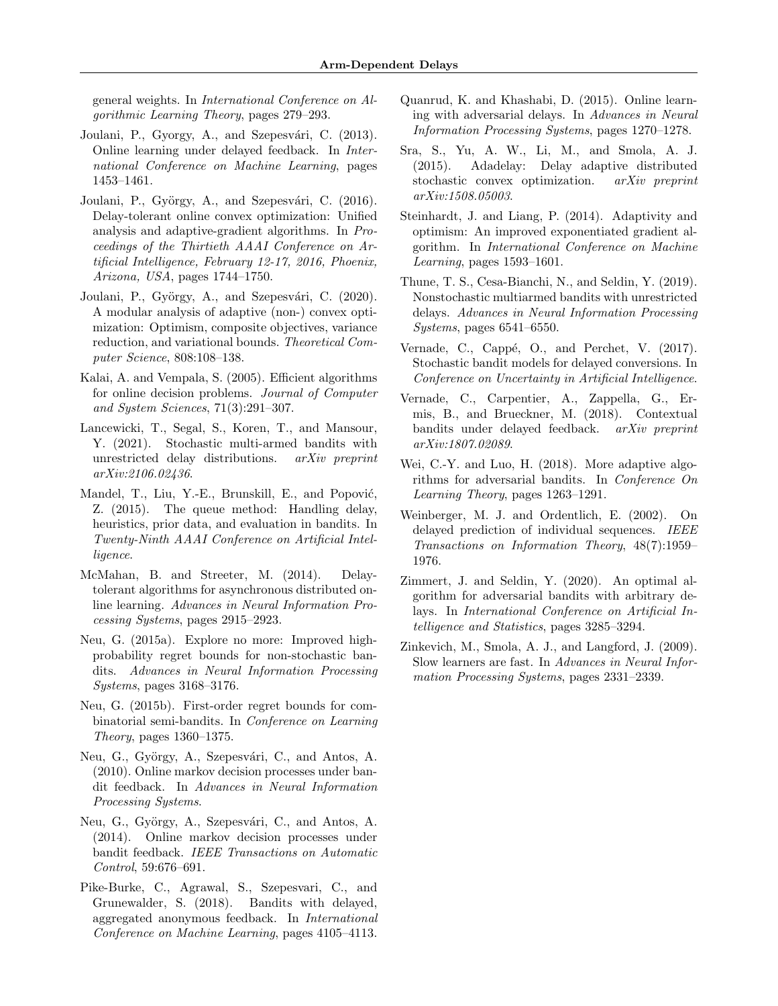general weights. In International Conference on Algorithmic Learning Theory, pages 279–293.

- <span id="page-9-6"></span>Joulani, P., Gyorgy, A., and Szepesvári, C. (2013). Online learning under delayed feedback. In International Conference on Machine Learning, pages 1453–1461.
- <span id="page-9-8"></span>Joulani, P., György, A., and Szepesvári, C. (2016). Delay-tolerant online convex optimization: Unified analysis and adaptive-gradient algorithms. In Proceedings of the Thirtieth AAAI Conference on Artificial Intelligence, February 12-17, 2016, Phoenix, Arizona, USA, pages 1744–1750.
- <span id="page-9-20"></span>Joulani, P., György, A., and Szepesvári, C. (2020). A modular analysis of adaptive (non-) convex optimization: Optimism, composite objectives, variance reduction, and variational bounds. Theoretical Computer Science, 808:108–138.
- <span id="page-9-16"></span>Kalai, A. and Vempala, S. (2005). Efficient algorithms for online decision problems. Journal of Computer and System Sciences, 71(3):291–307.
- <span id="page-9-11"></span>Lancewicki, T., Segal, S., Koren, T., and Mansour, Y. (2021). Stochastic multi-armed bandits with unrestricted delay distributions. arXiv preprint arXiv:2106.02436.
- <span id="page-9-12"></span>Mandel, T., Liu, Y.-E., Brunskill, E., and Popović, Z. (2015). The queue method: Handling delay, heuristics, prior data, and evaluation in bandits. In Twenty-Ninth AAAI Conference on Artificial Intelligence.
- <span id="page-9-9"></span>McMahan, B. and Streeter, M. (2014). Delaytolerant algorithms for asynchronous distributed online learning. Advances in Neural Information Processing Systems, pages 2915–2923.
- <span id="page-9-21"></span>Neu, G. (2015a). Explore no more: Improved highprobability regret bounds for non-stochastic bandits. Advances in Neural Information Processing Systems, pages 3168–3176.
- <span id="page-9-17"></span>Neu, G. (2015b). First-order regret bounds for combinatorial semi-bandits. In Conference on Learning Theory, pages  $1360-1375$ .
- <span id="page-9-2"></span>Neu, G., György, A., Szepesvári, C., and Antos, A. (2010). Online markov decision processes under bandit feedback. In Advances in Neural Information Processing Systems.
- <span id="page-9-3"></span>Neu, G., György, A., Szepesvári, C., and Antos, A. (2014). Online markov decision processes under bandit feedback. IEEE Transactions on Automatic Control, 59:676–691.
- <span id="page-9-15"></span>Pike-Burke, C., Agrawal, S., Szepesvari, C., and Grunewalder, S. (2018). Bandits with delayed, aggregated anonymous feedback. In International Conference on Machine Learning, pages 4105–4113.
- <span id="page-9-7"></span>Quanrud, K. and Khashabi, D. (2015). Online learning with adversarial delays. In Advances in Neural Information Processing Systems, pages 1270–1278.
- <span id="page-9-10"></span>Sra, S., Yu, A. W., Li, M., and Smola, A. J. (2015). Adadelay: Delay adaptive distributed stochastic convex optimization. arXiv preprint arXiv:1508.05003.
- <span id="page-9-18"></span>Steinhardt, J. and Liang, P. (2014). Adaptivity and optimism: An improved exponentiated gradient algorithm. In International Conference on Machine Learning, pages 1593–1601.
- <span id="page-9-4"></span>Thune, T. S., Cesa-Bianchi, N., and Seldin, Y. (2019). Nonstochastic multiarmed bandits with unrestricted delays. Advances in Neural Information Processing Systems, pages 6541–6550.
- <span id="page-9-13"></span>Vernade, C., Cappé, O., and Perchet, V. (2017). Stochastic bandit models for delayed conversions. In Conference on Uncertainty in Artificial Intelligence.
- <span id="page-9-14"></span>Vernade, C., Carpentier, A., Zappella, G., Ermis, B., and Brueckner, M. (2018). Contextual bandits under delayed feedback. arXiv preprint arXiv:1807.02089.
- <span id="page-9-19"></span>Wei, C.-Y. and Luo, H. (2018). More adaptive algorithms for adversarial bandits. In Conference On Learning Theory, pages 1263–1291.
- <span id="page-9-1"></span>Weinberger, M. J. and Ordentlich, E. (2002). On delayed prediction of individual sequences. IEEE Transactions on Information Theory, 48(7):1959– 1976.
- <span id="page-9-0"></span>Zimmert, J. and Seldin, Y. (2020). An optimal algorithm for adversarial bandits with arbitrary delays. In International Conference on Artificial Intelligence and Statistics, pages 3285–3294.
- <span id="page-9-5"></span>Zinkevich, M., Smola, A. J., and Langford, J. (2009). Slow learners are fast. In Advances in Neural Information Processing Systems, pages 2331–2339.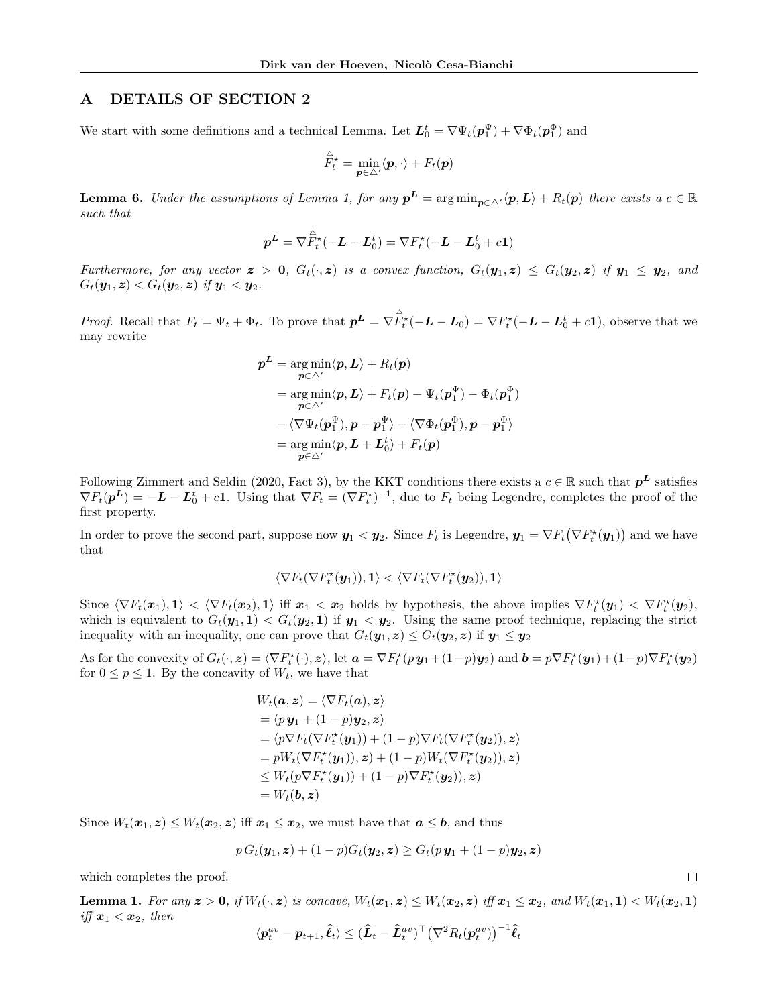## <span id="page-10-0"></span>A DETAILS OF SECTION [2](#page-3-0)

We start with some definitions and a technical Lemma. Let  $L_0^t = \nabla \Psi_t(p_1^{\Psi}) + \nabla \Phi_t(p_1^{\Phi})$  and

$$
\overset{\triangle}{F}{}^{\star}_{t} = \min_{\bm{p} \in \triangle'} \langle \bm{p}, \cdot \rangle + F_{t}(\bm{p})
$$

<span id="page-10-1"></span>**Lemma 6.** Under the assumptions of Lemma [1,](#page-4-2) for any  $p^L = \arg \min_{p \in \triangle'} \langle p, L \rangle + R_t(p)$  there exists a  $c \in \mathbb{R}$ such that

$$
\boldsymbol{p}^{\boldsymbol{L}} = \nabla \hat{F}_t^{\star}(-\boldsymbol{L} - \boldsymbol{L}_0^t) = \nabla F_t^{\star}(-\boldsymbol{L} - \boldsymbol{L}_0^t + c\mathbf{1})
$$

Furthermore, for any vector  $z > 0$ ,  $G_t(\cdot, z)$  is a convex function,  $G_t(\mathbf{y}_1, z) \leq G_t(\mathbf{y}_2, z)$  if  $\mathbf{y}_1 \leq \mathbf{y}_2$ , and  $G_t(\mathbf{y}_1, \mathbf{z}) < G_t(\mathbf{y}_2, \mathbf{z})$  if  $\mathbf{y}_1 < \mathbf{y}_2$ .

*Proof.* Recall that  $F_t = \Psi_t + \Phi_t$ . To prove that  $p^L = \nabla \hat{F}_t^*(-L - L_0) = \nabla F_t^*(-L - L_0^t + c\mathbf{1})$ , observe that we may rewrite

$$
\begin{aligned} \boldsymbol{p}^{\boldsymbol{L}} &= \argmin_{\boldsymbol{p} \in \Delta'} \langle \boldsymbol{p}, \boldsymbol{L} \rangle + R_t(\boldsymbol{p}) \\ &= \argmin_{\boldsymbol{p} \in \Delta'} \langle \boldsymbol{p}, \boldsymbol{L} \rangle + F_t(\boldsymbol{p}) - \Psi_t(\boldsymbol{p}_1^{\Psi}) - \Phi_t(\boldsymbol{p}_1^{\Phi}) \\ &- \langle \nabla \Psi_t(\boldsymbol{p}_1^{\Psi}), \boldsymbol{p} - \boldsymbol{p}_1^{\Psi} \rangle - \langle \nabla \Phi_t(\boldsymbol{p}_1^{\Phi}), \boldsymbol{p} - \boldsymbol{p}_1^{\Phi} \rangle \\ &= \argmin_{\boldsymbol{p} \in \Delta'} \langle \boldsymbol{p}, \boldsymbol{L} + \boldsymbol{L}_0^t \rangle + F_t(\boldsymbol{p}) \end{aligned}
$$

Following [Zimmert and Seldin \(2020,](#page-9-0) Fact 3), by the KKT conditions there exists a  $c \in \mathbb{R}$  such that  $p^L$  satisfies  $\nabla F_t(\mathbf{p}^L) = -\mathbf{L} - \mathbf{L}_0^t + c\mathbf{1}$ . Using that  $\nabla F_t = (\nabla F_t^{\star})^{-1}$ , due to  $F_t$  being Legendre, completes the proof of the first property.

In order to prove the second part, suppose now  $y_1 < y_2$ . Since  $F_t$  is Legendre,  $y_1 = \nabla F_t(\nabla F_t^*(y_1))$  and we have that

$$
\langle \nabla F_t(\nabla F_t^\star(\boldsymbol{y}_1)),\boldsymbol{1}\rangle<\langle \nabla F_t(\nabla F_t^\star(\boldsymbol{y}_2)),\boldsymbol{1}\rangle
$$

Since  $\langle \nabla F_t(\boldsymbol{x}_1), \boldsymbol{1} \rangle \langle \nabla F_t(\boldsymbol{x}_2), \boldsymbol{1} \rangle$  iff  $\boldsymbol{x}_1 \langle \boldsymbol{x}_2 \rangle$  holds by hypothesis, the above implies  $\nabla F_t^*(\boldsymbol{y}_1) \langle \nabla F_t^*(\boldsymbol{y}_2), \boldsymbol{1} \rangle$ which is equivalent to  $G_t(\mathbf{y}_1, \mathbf{1}) < G_t(\mathbf{y}_2, \mathbf{1})$  if  $\mathbf{y}_1 < \mathbf{y}_2$ . Using the same proof technique, replacing the strict inequality with an inequality, one can prove that  $G_t(\mathbf{y}_1, \mathbf{z}) \leq G_t(\mathbf{y}_2, \mathbf{z})$  if  $\mathbf{y}_1 \leq \mathbf{y}_2$ 

As for the convexity of  $G_t(\cdot, z) = \langle \nabla F_t^*(\cdot), z \rangle$ , let  $\mathbf{a} = \nabla F_t^*(p\,\mathbf{y}_1 + (1-p)\mathbf{y}_2)$  and  $\mathbf{b} = p \nabla F_t^*(\mathbf{y}_1) + (1-p) \nabla F_t^*(\mathbf{y}_2)$ for  $0 \le p \le 1$ . By the concavity of  $W_t$ , we have that

$$
W_t(\mathbf{a}, \mathbf{z}) = \langle \nabla F_t(\mathbf{a}), \mathbf{z} \rangle
$$
  
=  $\langle p \mathbf{y}_1 + (1 - p) \mathbf{y}_2, \mathbf{z} \rangle$   
=  $\langle p \nabla F_t(\nabla F_t^*(\mathbf{y}_1)) + (1 - p) \nabla F_t(\nabla F_t^*(\mathbf{y}_2)), \mathbf{z} \rangle$   
=  $p W_t(\nabla F_t^*(\mathbf{y}_1)), \mathbf{z}) + (1 - p) W_t(\nabla F_t^*(\mathbf{y}_2)), \mathbf{z} \rangle$   
 $\leq W_t(p \nabla F_t^*(\mathbf{y}_1)) + (1 - p) \nabla F_t^*(\mathbf{y}_2)), \mathbf{z} \rangle$   
=  $W_t(\mathbf{b}, \mathbf{z})$ 

Since  $W_t(\boldsymbol{x}_1, \boldsymbol{z}) \leq W_t(\boldsymbol{x}_2, \boldsymbol{z})$  iff  $\boldsymbol{x}_1 \leq \boldsymbol{x}_2$ , we must have that  $\boldsymbol{a} \leq \boldsymbol{b}$ , and thus

$$
p G_t(\mathbf{y}_1, \mathbf{z}) + (1 - p) G_t(\mathbf{y}_2, \mathbf{z}) \ge G_t(p \, \mathbf{y}_1 + (1 - p) \mathbf{y}_2, \mathbf{z})
$$

which completes the proof.

**Lemma 1.** For any  $z > 0$ , if  $W_t(\cdot, z)$  is concave,  $W_t(x_1, z) \leq W_t(x_2, z)$  iff  $x_1 \leq x_2$ , and  $W_t(x_1, 1) < W_t(x_2, 1)$ iff  $x_1 < x_2$ , then

 $\Box$ 

$$
\langle \boldsymbol{p}_t^{av} - \boldsymbol{p}_{t+1}, \widehat{\ell}_t \rangle \leq (\widehat{\boldsymbol{L}}_t - \widehat{\boldsymbol{L}}_t^{av})^\top (\nabla^2 R_t(\boldsymbol{p}_t^{av}))^{-1} \widehat{\ell}_t
$$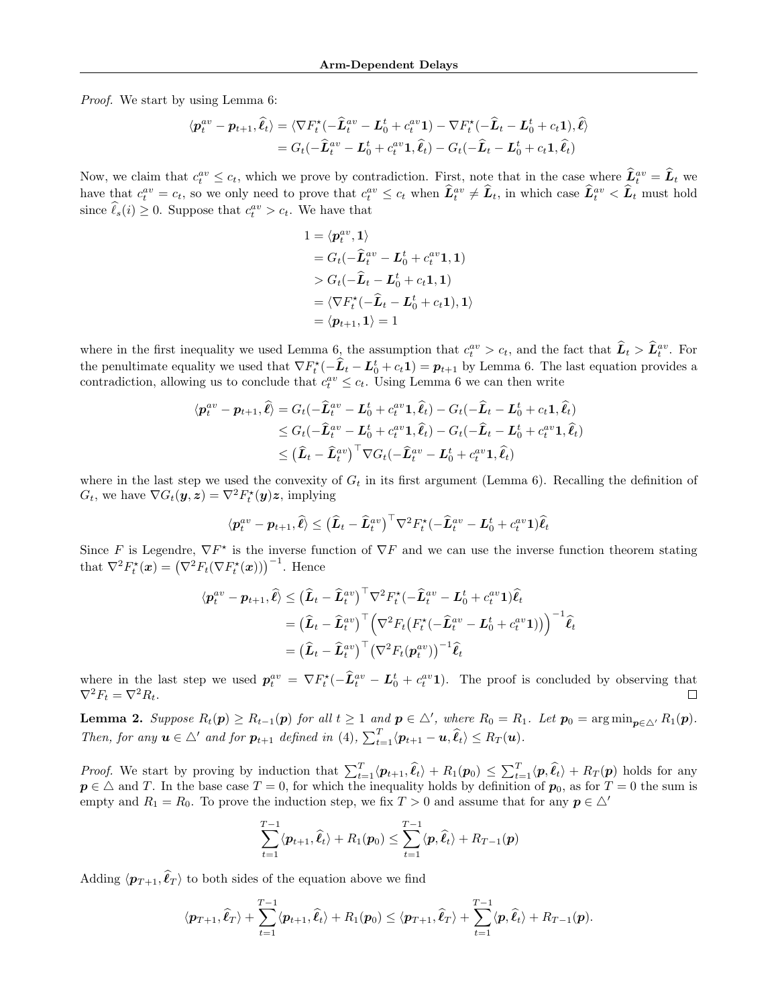Proof. We start by using Lemma [6:](#page-10-1)

$$
\langle \boldsymbol{p}_t^{av} - \boldsymbol{p}_{t+1}, \widehat{\boldsymbol{\ell}}_t \rangle = \langle \nabla F_t^{\star}(-\widehat{\boldsymbol{L}}_t^{av} - \boldsymbol{L}_0^t + c_t^{av} \mathbf{1}) - \nabla F_t^{\star}(-\widehat{\boldsymbol{L}}_t - \boldsymbol{L}_0^t + c_t \mathbf{1}), \widehat{\boldsymbol{\ell}} \rangle = G_t(-\widehat{\boldsymbol{L}}_t^{av} - \boldsymbol{L}_0^t + c_t^{av} \mathbf{1}, \widehat{\boldsymbol{\ell}}_t) - G_t(-\widehat{\boldsymbol{L}}_t - \boldsymbol{L}_0^t + c_t \mathbf{1}, \widehat{\boldsymbol{\ell}}_t)
$$

Now, we claim that  $c_t^{av} \leq c_t$ , which we prove by contradiction. First, note that in the case where  $\hat{L}_t^{av} = \hat{L}_t$  we have that  $c_t^{av} = c_t$ , so we only need to prove that  $c_t^{av} \leq c_t$  when  $\hat{L}_t^{av} \neq \hat{L}_t$ , in which case  $\hat{L}_t^{av} < \hat{L}_t$  must hold since  $\hat{\ell}_s(i) \geq 0$ . Suppose that  $c_t^{av} > c_t$ . We have that

$$
1 = \langle p_t^{av}, 1 \rangle
$$
  
=  $G_t(-\hat{L}_t^{av} - L_0^t + c_t^{av} \mathbf{1}, \mathbf{1})$   
>  $G_t(-\hat{L}_t - L_0^t + c_t \mathbf{1}, \mathbf{1})$   
=  $\langle \nabla F_t^{\star}(-\hat{L}_t - L_0^t + c_t \mathbf{1}), \mathbf{1} \rangle$   
=  $\langle p_{t+1}, 1 \rangle = 1$ 

where in the first inequality we used Lemma [6,](#page-10-1) the assumption that  $c_t^{av} > c_t$ , and the fact that  $\hat{L}_t > \hat{L}_t^{av}$ . For the penultimate equality we used that  $\nabla F_t^* (-\hat{\bm{L}}_t - \bm{L}_0^t + c_t \bm{1}) = \bm{p}_{t+1}$  by Lemma [6.](#page-10-1) The last equation provides a contradiction, allowing us to conclude that  $c_t^{av} \leq c_t$ . Using Lemma [6](#page-10-1) we can then write

$$
\langle \boldsymbol{p}_t^{av} - \boldsymbol{p}_{t+1}, \widehat{\ell} \rangle = G_t(-\widehat{\boldsymbol{L}}_t^{av} - \boldsymbol{L}_0^t + c_t^{av} \mathbf{1}, \widehat{\ell}_t) - G_t(-\widehat{\boldsymbol{L}}_t - \boldsymbol{L}_0^t + c_t \mathbf{1}, \widehat{\ell}_t) \n\leq G_t(-\widehat{\boldsymbol{L}}_t^{av} - \boldsymbol{L}_0^t + c_t^{av} \mathbf{1}, \widehat{\ell}_t) - G_t(-\widehat{\boldsymbol{L}}_t - \boldsymbol{L}_0^t + c_t^{av} \mathbf{1}, \widehat{\ell}_t) \n\leq (\widehat{\boldsymbol{L}}_t - \widehat{\boldsymbol{L}}_t^{av})^\top \nabla G_t(-\widehat{\boldsymbol{L}}_t^{av} - \boldsymbol{L}_0^t + c_t^{av} \mathbf{1}, \widehat{\ell}_t)
$$

where in the last step we used the convexity of  $G_t$  in its first argument (Lemma [6\)](#page-10-1). Recalling the definition of  $G_t$ , we have  $\nabla G_t(\mathbf{y}, \mathbf{z}) = \nabla^2 F_t^{\star}(\mathbf{y})\mathbf{z}$ , implying

$$
\langle \boldsymbol{p}_t^{av} - \boldsymbol{p}_{t+1}, \widehat{\ell} \rangle \leq \left(\widehat{\boldsymbol{L}}_t - \widehat{\boldsymbol{L}}_t^{av}\right)^{\top} \nabla^2 F_t^{\star}(-\widehat{\boldsymbol{L}}_t^{av} - \boldsymbol{L}_0^t + c_t^{av} \mathbf{1}) \widehat{\ell}_t
$$

Since F is Legendre,  $\nabla F^*$  is the inverse function of  $\nabla F$  and we can use the inverse function theorem stating that  $\nabla^2 F_t^*(x) = (\nabla^2 F_t(\nabla F_t^*(x)))^{-1}$ . Hence

$$
\langle \boldsymbol{p}_t^{av} - \boldsymbol{p}_{t+1}, \widehat{\ell} \rangle \leq (\widehat{\boldsymbol{L}}_t - \widehat{\boldsymbol{L}}_t^{av})^\top \nabla^2 F_t^\star (-\widehat{\boldsymbol{L}}_t^{av} - \boldsymbol{L}_0^t + c_t^{av} \mathbf{1}) \widehat{\ell}_t = (\widehat{\boldsymbol{L}}_t - \widehat{\boldsymbol{L}}_t^{av})^\top \Big( \nabla^2 F_t \big( F_t^\star (-\widehat{\boldsymbol{L}}_t^{av} - \boldsymbol{L}_0^t + c_t^{av} \mathbf{1}) \big) \Big)^{-1} \widehat{\ell}_t = (\widehat{\boldsymbol{L}}_t - \widehat{\boldsymbol{L}}_t^{av})^\top \big( \nabla^2 F_t (\boldsymbol{p}_t^{av}) \big)^{-1} \widehat{\ell}_t
$$

where in the last step we used  $p_t^{av} = \nabla F_t^*(-\hat{L}_t^{av} - L_0^t + c_t^{av}\mathbf{1}).$  The proof is concluded by observing that  $\nabla^2 F_t = \nabla^2 R_t.$ 

**Lemma 2.** Suppose  $R_t(p) \ge R_{t-1}(p)$  for all  $t \ge 1$  and  $p \in \triangle'$ , where  $R_0 = R_1$ . Let  $p_0 = \arg\min_{p \in \triangle'} R_1(p)$ . Then, for any  $u \in \triangle'$  and for  $p_{t+1}$  defined in [\(4\)](#page-3-3),  $\sum_{t=1}^{T} \langle p_{t+1} - u, \hat{\ell}_t \rangle \le R_T(u)$ .

*Proof.* We start by proving by induction that  $\sum_{t=1}^T \langle \boldsymbol{p}_{t+1}, \hat{\ell}_t \rangle + R_1(\boldsymbol{p}_0) \leq \sum_{t=1}^T \langle \boldsymbol{p}, \hat{\ell}_t \rangle + R_T(\boldsymbol{p})$  holds for any  $p \in \Delta$  and T. In the base case  $T = 0$ , for which the inequality holds by definition of  $p_0$ , as for  $T = 0$  the sum is empty and  $R_1 = R_0$ . To prove the induction step, we fix  $T > 0$  and assume that for any  $p \in \triangle'$ 

$$
\sum_{t=1}^{T-1} \langle \boldsymbol{p}_{t+1}, \widehat{\boldsymbol{\ell}}_t \rangle + R_1(\boldsymbol{p}_0) \leq \sum_{t=1}^{T-1} \langle \boldsymbol{p}, \widehat{\boldsymbol{\ell}}_t \rangle + R_{T-1}(\boldsymbol{p})
$$

Adding  $\langle \boldsymbol{p}_{T+1}, \hat{\ell}_T \rangle$  to both sides of the equation above we find

$$
\langle \boldsymbol{p}_{T+1}, \widehat{\ell}_T \rangle + \sum_{t=1}^{T-1} \langle \boldsymbol{p}_{t+1}, \widehat{\ell}_t \rangle + R_1(\boldsymbol{p}_0) \leq \langle \boldsymbol{p}_{T+1}, \widehat{\ell}_T \rangle + \sum_{t=1}^{T-1} \langle \boldsymbol{p}, \widehat{\ell}_t \rangle + R_{T-1}(\boldsymbol{p}).
$$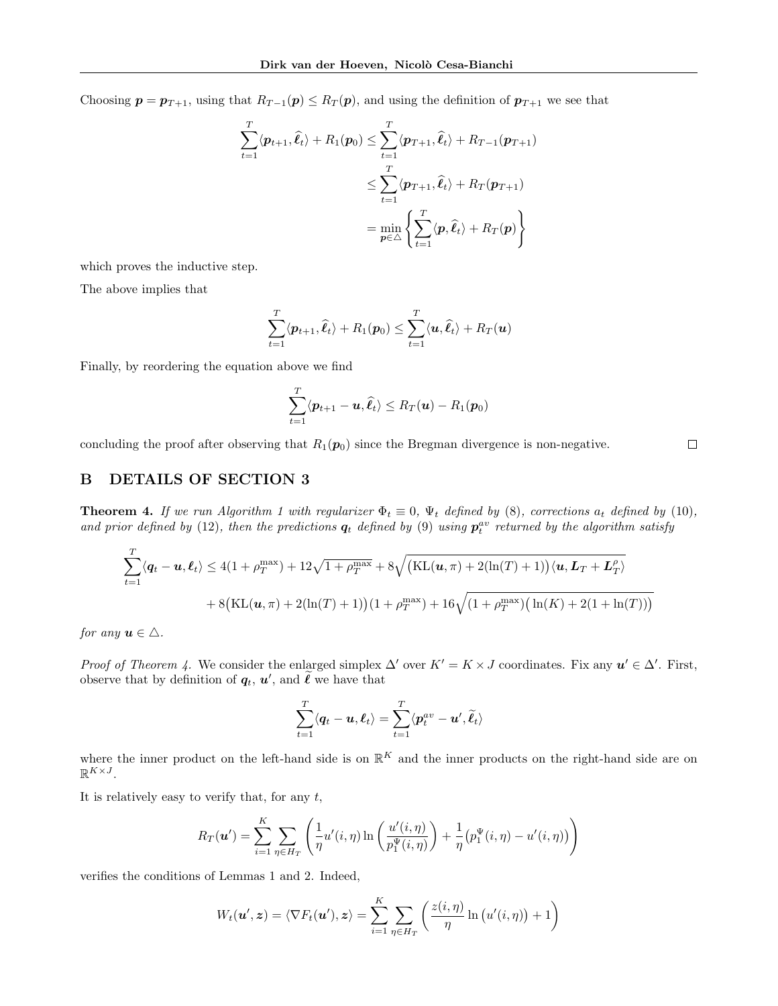Choosing  $p = p_{T+1}$ , using that  $R_{T-1}(p) \le R_T(p)$ , and using the definition of  $p_{T+1}$  we see that

$$
\sum_{t=1}^{T} \langle \boldsymbol{p}_{t+1}, \hat{\ell}_t \rangle + R_1(\boldsymbol{p}_0) \le \sum_{t=1}^{T} \langle \boldsymbol{p}_{T+1}, \hat{\ell}_t \rangle + R_{T-1}(\boldsymbol{p}_{T+1})
$$
\n
$$
\le \sum_{t=1}^{T} \langle \boldsymbol{p}_{T+1}, \hat{\ell}_t \rangle + R_T(\boldsymbol{p}_{T+1})
$$
\n
$$
= \min_{\boldsymbol{p} \in \triangle} \left\{ \sum_{t=1}^{T} \langle \boldsymbol{p}, \hat{\ell}_t \rangle + R_T(\boldsymbol{p}) \right\}
$$

which proves the inductive step.

The above implies that

$$
\sum_{t=1}^T \langle \boldsymbol{p}_{t+1}, \widehat{\ell}_t \rangle + R_1(\boldsymbol{p}_0) \leq \sum_{t=1}^T \langle \boldsymbol{u}, \widehat{\ell}_t \rangle + R_T(\boldsymbol{u})
$$

Finally, by reordering the equation above we find

$$
\sum_{t=1}^T \langle \boldsymbol{p}_{t+1} - \boldsymbol{u}, \widehat{\boldsymbol{\ell}}_t \rangle \le R_T(\boldsymbol{u}) - R_1(\boldsymbol{p}_0)
$$

concluding the proof after observing that  $R_1(p_0)$  since the Bregman divergence is non-negative.

### <span id="page-12-1"></span>B DETAILS OF SECTION [3](#page-4-0)

<span id="page-12-0"></span>**Theorem 4.** If we run Algorithm [1](#page-3-1) with regularizer  $\Phi_t \equiv 0$ ,  $\Psi_t$  defined by [\(8\)](#page-4-4), corrections  $a_t$  defined by [\(10\)](#page-4-5), and prior defined by [\(12\)](#page-4-6), then the predictions  $q_t$  defined by [\(9\)](#page-4-7) using  $p_t^{av}$  returned by the algorithm satisfy

$$
\sum_{t=1}^{T} \langle \mathbf{q}_t - \mathbf{u}, \mathbf{\ell}_t \rangle \le 4(1 + \rho_T^{\max}) + 12\sqrt{1 + \rho_T^{\max}} + 8\sqrt{(\text{KL}(\mathbf{u}, \pi) + 2(\ln(T) + 1))\langle \mathbf{u}, \mathbf{L}_T + \mathbf{L}_T^{\rho} \rangle}
$$

$$
+ 8(\text{KL}(\mathbf{u}, \pi) + 2(\ln(T) + 1))(1 + \rho_T^{\max}) + 16\sqrt{(1 + \rho_T^{\max})(\ln(K) + 2(1 + \ln(T)))}
$$

for any  $u \in \Delta$ .

*Proof of Theorem [4.](#page-12-0)* We consider the enlarged simplex  $\Delta'$  over  $K' = K \times J$  coordinates. Fix any  $u' \in \Delta'$ . First, observe that by definition of  $\boldsymbol{q}_t$ ,  $\boldsymbol{u}'$ , and  $\tilde{\ell}$  we have that

$$
\sum_{t=1}^T \langle \boldsymbol{q}_t - \boldsymbol{u}, \boldsymbol{\ell}_t \rangle = \sum_{t=1}^T \langle \boldsymbol{p}_t^{av} - \boldsymbol{u}', \widetilde{\boldsymbol{\ell}}_t \rangle
$$

where the inner product on the left-hand side is on  $\mathbb{R}^K$  and the inner products on the right-hand side are on  $\mathbb{R}^{K\times J}$ .

It is relatively easy to verify that, for any  $t$ ,

$$
R_T(\mathbf{u}') = \sum_{i=1}^K \sum_{\eta \in H_T} \left( \frac{1}{\eta} u'(i, \eta) \ln \left( \frac{u'(i, \eta)}{p_1^{\Psi}(i, \eta)} \right) + \frac{1}{\eta} \left( p_1^{\Psi}(i, \eta) - u'(i, \eta) \right) \right)
$$

verifies the conditions of Lemmas [1](#page-4-2) and [2.](#page-4-1) Indeed,

$$
W_t(\boldsymbol{u}',\boldsymbol{z}) = \langle \nabla F_t(\boldsymbol{u}'), \boldsymbol{z} \rangle = \sum_{i=1}^K \sum_{\eta \in H_T} \left( \frac{z(i,\eta)}{\eta} \ln (u'(i,\eta)) + 1 \right)
$$

$$
\Box
$$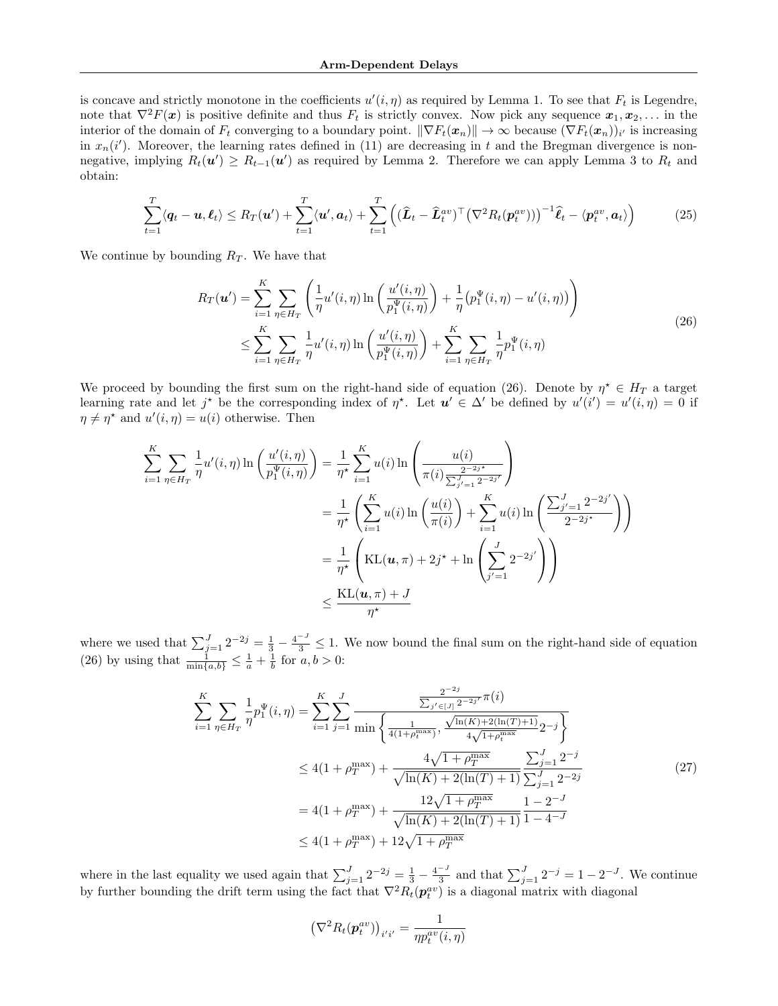is concave and strictly monotone in the coefficients  $u'(i, \eta)$  as required by Lemma [1.](#page-4-2) To see that  $F_t$  is Legendre, note that  $\nabla^2 F(x)$  is positive definite and thus  $F_t$  is strictly convex. Now pick any sequence  $x_1, x_2, \ldots$  in the interior of the domain of  $F_t$  converging to a boundary point.  $\|\nabla F_t(\bm{x}_n)\| \to \infty$  because  $(\nabla F_t(\bm{x}_n))_{i'}$  is increasing in  $x_n(i')$ . Moreover, the learning rates defined in [\(11\)](#page-4-9) are decreasing in t and the Bregman divergence is nonnegative, implying  $R_t(\mathbf{u}') \geq R_{t-1}(\mathbf{u}')$  as required by Lemma [2.](#page-4-1) Therefore we can apply Lemma [3](#page-4-8) to  $R_t$  and obtain:

$$
\sum_{t=1}^{T} \langle \boldsymbol{q}_t - \boldsymbol{u}, \boldsymbol{\ell}_t \rangle \le R_T(\boldsymbol{u}') + \sum_{t=1}^{T} \langle \boldsymbol{u}', \boldsymbol{a}_t \rangle + \sum_{t=1}^{T} \left( (\widehat{\boldsymbol{L}}_t - \widehat{\boldsymbol{L}}_t^{av})^{\top} (\nabla^2 R_t(\boldsymbol{p}_t^{av})) \right)^{-1} \widehat{\boldsymbol{\ell}}_t - \langle \boldsymbol{p}_t^{av}, \boldsymbol{a}_t \rangle \right)
$$
(25)

<span id="page-13-1"></span><span id="page-13-0"></span>We continue by bounding  $R_T$ . We have that

$$
R_T(\mathbf{u}') = \sum_{i=1}^K \sum_{\eta \in H_T} \left( \frac{1}{\eta} u'(i, \eta) \ln \left( \frac{u'(i, \eta)}{p_1^{\Psi}(i, \eta)} \right) + \frac{1}{\eta} \left( p_1^{\Psi}(i, \eta) - u'(i, \eta) \right) \right)
$$
  
 
$$
\leq \sum_{i=1}^K \sum_{\eta \in H_T} \frac{1}{\eta} u'(i, \eta) \ln \left( \frac{u'(i, \eta)}{p_1^{\Psi}(i, \eta)} \right) + \sum_{i=1}^K \sum_{\eta \in H_T} \frac{1}{\eta} p_1^{\Psi}(i, \eta)
$$
 (26)

We proceed by bounding the first sum on the right-hand side of equation [\(26\)](#page-13-0). Denote by  $\eta^* \in H_T$  a target learning rate and let j<sup>\*</sup> be the corresponding index of  $\eta^*$ . Let  $u' \in \Delta'$  be defined by  $u'(i') = u'(i, \eta) = 0$  if  $\eta \neq \eta^*$  and  $u'(i, \eta) = u(i)$  otherwise. Then

$$
\sum_{i=1}^{K} \sum_{\eta \in H_T} \frac{1}{\eta} u'(i, \eta) \ln\left(\frac{u'(i, \eta)}{p_1^{\Psi}(i, \eta)}\right) = \frac{1}{\eta^{\star}} \sum_{i=1}^{K} u(i) \ln\left(\frac{u(i)}{\pi(i) \frac{2^{-2j^{\star}}}{\sum_{j'=1}^{j-2j^{\star}} 2^{-2j^{\star}}}}\right)
$$

$$
= \frac{1}{\eta^{\star}} \left(\sum_{i=1}^{K} u(i) \ln\left(\frac{u(i)}{\pi(i)}\right) + \sum_{i=1}^{K} u(i) \ln\left(\frac{\sum_{j'=1}^{J} 2^{-2j'}}{2^{-2j^{\star}}}\right)\right)
$$

$$
= \frac{1}{\eta^{\star}} \left(\text{KL}(u, \pi) + 2j^{\star} + \ln\left(\sum_{j'=1}^{J} 2^{-2j'}\right)\right)
$$

$$
\leq \frac{\text{KL}(u, \pi) + J}{\eta^{\star}}
$$

where we used that  $\sum_{j=1}^{J} 2^{-2j} = \frac{1}{3} - \frac{4^{-J}}{3} \leq 1$ . We now bound the final sum on the right-hand side of equation [\(26\)](#page-13-0) by using that  $\frac{1}{\min\{a,b\}} \leq \frac{1}{a} + \frac{1}{b}$  for  $a, b > 0$ :

$$
\sum_{i=1}^{K} \sum_{\eta \in H_T} \frac{1}{\eta} p_1^{\Psi}(i, \eta) = \sum_{i=1}^{K} \sum_{j=1}^{J} \frac{\sum_{j' \in [J]} 2^{-2j'}}{\min\left\{ \frac{1}{4(1+\rho_t^{\max})}, \frac{\sqrt{\ln(K) + 2(\ln(T) + 1)}}{4\sqrt{1+\rho_t^{\max}}} 2^{-j} \right\}} \le 4(1+\rho_T^{\max}) + \frac{4\sqrt{1+\rho_T^{\max}}}{\sqrt{\ln(K) + 2(\ln(T) + 1)}} \frac{\sum_{j=1}^{J} 2^{-j}}{\sum_{j=1}^{J} 2^{-2j}} \le 4(1+\rho_T^{\max}) + \frac{12\sqrt{1+\rho_T^{\max}}}{\sqrt{\ln(K) + 2(\ln(T) + 1)}} \frac{1 - 2^{-J}}{1 - 4^{-J}} \le 4(1+\rho_T^{\max}) + 12\sqrt{1+\rho_T^{\max}} \tag{27}
$$

<span id="page-13-2"></span>where in the last equality we used again that  $\sum_{j=1}^{J} 2^{-2j} = \frac{1}{3} - \frac{4^{-J}}{3}$  $\frac{z^{-j}}{3}$  and that  $\sum_{j=1}^{J} 2^{-j} = 1 - 2^{-J}$ . We continue by further bounding the drift term using the fact that  $\nabla^2 R_t(\mathbf{p}_t^{av})$  is a diagonal matrix with diagonal

$$
\left(\nabla^2 R_t(\boldsymbol{p}_t^{av})\right)_{i'i'} = \frac{1}{\eta p_t^{av}(i,\eta)}
$$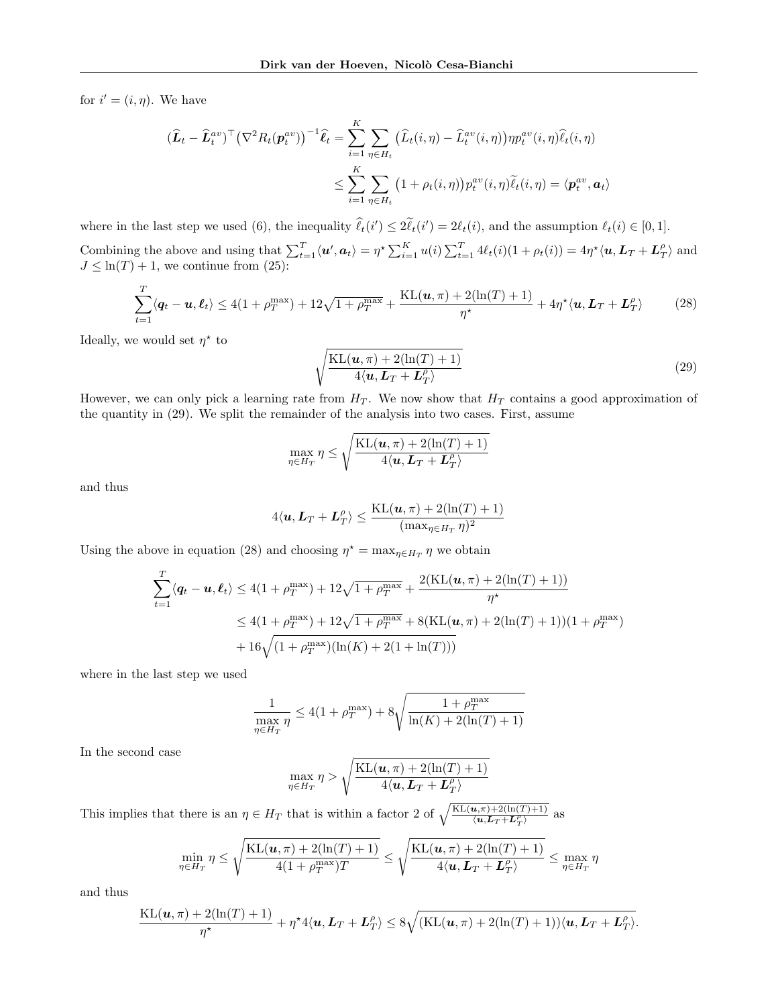for  $i' = (i, \eta)$ . We have

$$
(\widehat{L}_t - \widehat{L}_t^{av})^{\top} (\nabla^2 R_t(\mathbf{p}_t^{av}))^{-1} \widehat{\ell}_t = \sum_{i=1}^K \sum_{\eta \in H_t} (\widehat{L}_t(i, \eta) - \widehat{L}_t^{av}(i, \eta)) \eta p_t^{av}(i, \eta) \widehat{\ell}_t(i, \eta)
$$
  

$$
\leq \sum_{i=1}^K \sum_{\eta \in H_t} (1 + \rho_t(i, \eta)) p_t^{av}(i, \eta) \widehat{\ell}_t(i, \eta) = \langle \mathbf{p}_t^{av}, \mathbf{a}_t \rangle
$$

where in the last step we used [\(6\)](#page-4-10), the inequality  $\ell_t(i') \leq 2\ell_t(i)$  $\mathcal{O}(\ell_1) \leq 2\tilde{\ell}_t(i') = 2\ell_t(i)$ , and the assumption  $\ell_t(i) \in [0, 1]$ . Combining the above and using that  $\sum_{t=1}^T \langle \mathbf{u}', \mathbf{a}_t \rangle = \eta^* \sum_{i=1}^K u(i) \sum_{t=1}^T 4\ell_t(i)(1 + \rho_t(i)) = 4\eta^* \langle \mathbf{u}, \mathbf{L}_T + \mathbf{L}_T^{\rho} \rangle$  and  $J \leq \ln(T) + 1$ , we continue from [\(25\)](#page-13-1):

$$
\sum_{t=1}^{T} \langle \mathbf{q}_t - \mathbf{u}, \mathbf{\ell}_t \rangle \le 4(1 + \rho_T^{\max}) + 12\sqrt{1 + \rho_T^{\max}} + \frac{\mathrm{KL}(\mathbf{u}, \pi) + 2(\ln(T) + 1)}{\eta^{\star}} + 4\eta^{\star}\langle \mathbf{u}, \mathbf{L}_T + \mathbf{L}_T^{\rho} \rangle \tag{28}
$$

<span id="page-14-1"></span>Ideally, we would set  $\eta^*$  to

<span id="page-14-0"></span>
$$
\sqrt{\frac{\text{KL}(\boldsymbol{u}, \pi) + 2(\ln(T) + 1)}{4\langle \boldsymbol{u}, \boldsymbol{L}_T + \boldsymbol{L}_T^P \rangle}}
$$
(29)

However, we can only pick a learning rate from  $H_T$ . We now show that  $H_T$  contains a good approximation of the quantity in [\(29\)](#page-14-0). We split the remainder of the analysis into two cases. First, assume

$$
\max_{\eta \in H_T} \eta \le \sqrt{\frac{\text{KL}(\boldsymbol{u}, \pi) + 2(\ln(T) + 1)}{4\langle \boldsymbol{u}, \boldsymbol{L}_T + \boldsymbol{L}_T^{\rho} \rangle}}
$$

and thus

$$
4\langle \boldsymbol{u}, \boldsymbol{L}_T + \boldsymbol{L}_T^{\rho} \rangle \leq \frac{\mathrm{KL}(\boldsymbol{u}, \pi) + 2(\ln(T) + 1)}{(\max_{\eta \in H_T} \eta)^2}
$$

Using the above in equation [\(28\)](#page-14-1) and choosing  $\eta^* = \max_{\eta \in H_T} \eta$  we obtain

$$
\sum_{t=1}^{T} \langle \mathbf{q}_t - \mathbf{u}, \mathbf{\ell}_t \rangle \le 4(1 + \rho_T^{\max}) + 12\sqrt{1 + \rho_T^{\max}} + \frac{2(KL(\mathbf{u}, \pi) + 2(\ln(T) + 1))}{\eta^*}
$$
  

$$
\le 4(1 + \rho_T^{\max}) + 12\sqrt{1 + \rho_T^{\max}} + 8(KL(\mathbf{u}, \pi) + 2(\ln(T) + 1))(1 + \rho_T^{\max})
$$
  

$$
+ 16\sqrt{(1 + \rho_T^{\max})(\ln(K) + 2(1 + \ln(T)))}
$$

where in the last step we used

$$
\frac{1}{\max_{\eta \in H_T} \eta} \le 4(1 + \rho_T^{\max}) + 8\sqrt{\frac{1 + \rho_T^{\max}}{\ln(K) + 2(\ln(T) + 1)}}
$$

In the second case

$$
\max_{\eta \in H_T} \eta > \sqrt{\frac{\text{KL}(\boldsymbol{u}, \pi) + 2(\ln(T) + 1)}{4\langle \boldsymbol{u}, \boldsymbol{L}_T + \boldsymbol{L}_T^{\rho} \rangle}}
$$

This implies that there is an  $\eta \in H_T$  that is within a factor 2 of  $\sqrt{\frac{\text{KL}(u,\pi)+2(\ln(T)+1)}{\langle u,L_T+L_T^{\rho} \rangle}}$  as

$$
\min_{\eta \in H_T} \eta \le \sqrt{\frac{\text{KL}(\boldsymbol{u}, \pi) + 2(\ln(T) + 1)}{4(1 + \rho_T^{\max})T}} \le \sqrt{\frac{\text{KL}(\boldsymbol{u}, \pi) + 2(\ln(T) + 1)}{4\langle \boldsymbol{u}, \boldsymbol{L}_T + \boldsymbol{L}_T^{\rho} \rangle}} \le \max_{\eta \in H_T} \eta
$$

and thus

$$
\frac{\mathrm{KL}(\boldsymbol{u}, \pi) + 2(\ln(T) + 1)}{\eta^\star} + \eta^\star 4\langle \boldsymbol{u}, \boldsymbol{L}_T + \boldsymbol{L}_T^{\rho} \rangle \leq 8 \sqrt{(\mathrm{KL}(\boldsymbol{u}, \pi) + 2(\ln(T) + 1)) \langle \boldsymbol{u}, \boldsymbol{L}_T + \boldsymbol{L}_T^{\rho} \rangle}.
$$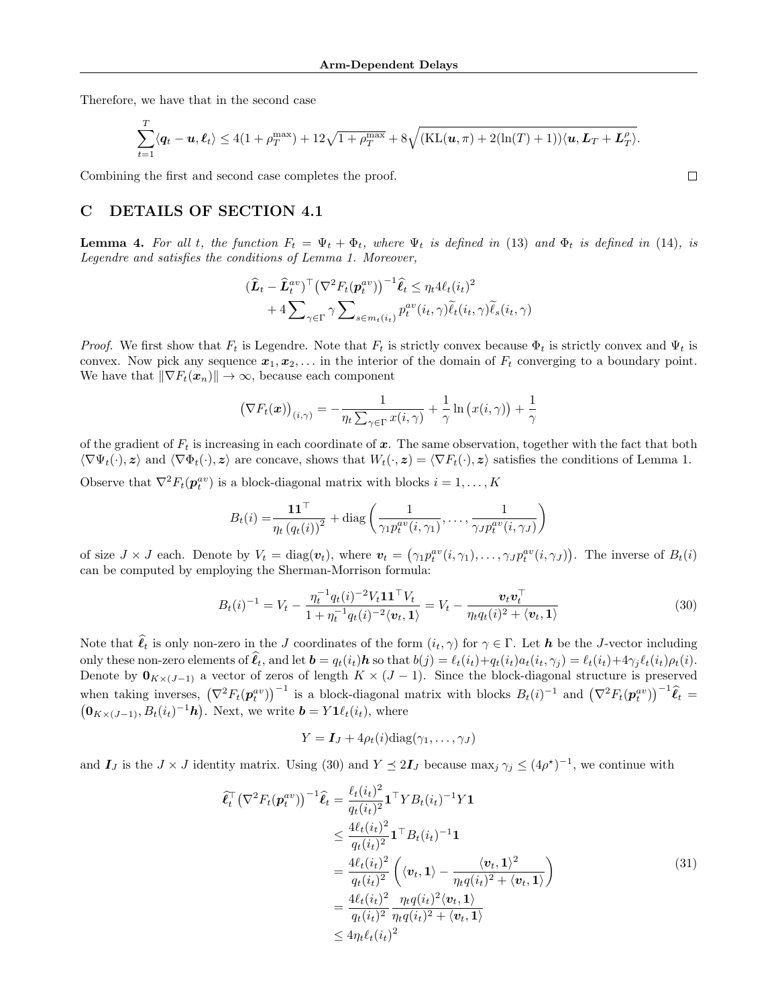Therefore, we have that in the second case

$$
\sum_{t=1}^T \langle \boldsymbol{q}_t - \boldsymbol{u}, \boldsymbol{\ell}_t \rangle \le 4(1+\rho_T^{\max}) + 12\sqrt{1+\rho_T^{\max}} + 8\sqrt{(KL(\boldsymbol{u}, \pi) + 2(\ln(T) + 1))\langle \boldsymbol{u}, \boldsymbol{L}_T + \boldsymbol{L}_T^{\rho}\rangle}.
$$

Combining the first and second case completes the proof.

## <span id="page-15-0"></span>C DETAILS OF SECTION [4.1](#page-5-5)

**Lemma 4.** For all t, the function  $F_t = \Psi_t + \Phi_t$ , where  $\Psi_t$  is defined in [\(13\)](#page-5-2) and  $\Phi_t$  is defined in [\(14\)](#page-5-3), is Legendre and satisfies the conditions of Lemma [1.](#page-4-2) Moreover,

$$
(\hat{L}_t - \hat{L}_t^{av})^{\top} (\nabla^2 F_t(\mathbf{p}_t^{av}))^{-1} \hat{\ell}_t \leq \eta_t 4\ell_t (i_t)^2 + 4 \sum_{\gamma \in \Gamma} \gamma \sum_{s \in m_t(i_t)} p_t^{av}(i_t, \gamma) \tilde{\ell}_t(i_t, \gamma) \tilde{\ell}_s(i_t, \gamma)
$$

*Proof.* We first show that  $F_t$  is Legendre. Note that  $F_t$  is strictly convex because  $\Phi_t$  is strictly convex and  $\Psi_t$  is convex. Now pick any sequence  $x_1, x_2, \ldots$  in the interior of the domain of  $F_t$  converging to a boundary point. We have that  $\|\nabla F_t(x_n)\| \to \infty$ , because each component

$$
\left(\nabla F_t(\boldsymbol{x})\right)_{(i,\gamma)} = -\frac{1}{\eta_t \sum_{\gamma \in \Gamma} x(i,\gamma)} + \frac{1}{\gamma} \ln \left(x(i,\gamma)\right) + \frac{1}{\gamma}
$$

of the gradient of  $F_t$  is increasing in each coordinate of x. The same observation, together with the fact that both  $\langle \nabla \Psi_t(\cdot), z \rangle$  and  $\langle \nabla \Phi_t(\cdot), z \rangle$  are concave, shows that  $W_t(\cdot, z) = \langle \nabla F_t(\cdot), z \rangle$  satisfies the conditions of Lemma [1.](#page-4-2) Observe that  $\nabla^2 F_t(\boldsymbol{p}_t^{av})$  is a block-diagonal matrix with blocks  $i = 1, ..., K$ 

$$
B_t(i) = \frac{\mathbf{1} \mathbf{1}^\top}{\eta_t (q_t(i))^2} + \text{diag}\left(\frac{1}{\gamma_1 p_t^{av}(i, \gamma_1)}, \dots, \frac{1}{\gamma_J p_t^{av}(i, \gamma_J)}\right)
$$

of size  $J \times J$  each. Denote by  $V_t = \text{diag}(\boldsymbol{v}_t)$ , where  $\boldsymbol{v}_t = (\gamma_1 p_t^{av}(i, \gamma_1), \dots, \gamma_J p_t^{av}(i, \gamma_J))$ . The inverse of  $B_t(i)$ can be computed by employing the Sherman-Morrison formula:

$$
B_t(i)^{-1} = V_t - \frac{\eta_t^{-1} q_t(i)^{-2} V_t \mathbf{1} \mathbf{1}^\top V_t}{1 + \eta_t^{-1} q_t(i)^{-2} \langle \mathbf{v}_t, \mathbf{1} \rangle} = V_t - \frac{\mathbf{v}_t \mathbf{v}_t^\top}{\eta_t q_t(i)^2 + \langle \mathbf{v}_t, \mathbf{1} \rangle} \tag{30}
$$

<span id="page-15-1"></span>Note that  $\hat{\ell}_t$  is only non-zero in the J coordinates of the form  $(i_t, \gamma)$  for  $\gamma \in \Gamma$ . Let  $h$  be the J-vector including only these non-zero elements of  $\ell_t$ , and let  $\boldsymbol{b} = q_t(i_t) \boldsymbol{h}$  so that  $b(j) = \ell_t(i_t) + q_t(i_t) a_t(i_t, \gamma_j) = \ell_t(i_t) + 4\gamma_j \ell_t(i_t) \rho_t(i)$ . Denote by  $\mathbf{0}_{K\times(J-1)}$  a vector of zeros of length  $K\times(J-1)$ . Since the block-diagonal structure is preserved when taking inverses,  $(\nabla^2 F_t(\mathbf{p}_t^{av}))^{-1}$  is a block-diagonal matrix with blocks  $B_t(i)^{-1}$  and  $(\nabla^2 F_t(\mathbf{p}_t^{av}))^{-1}\hat{\ell}_t = (\mathbf{0}_{K \times (J-1)}, B_t(i_t)^{-1}\mathbf{h})$ . Next, we write  $\mathbf{b} = Y \mathbf{1}_{\ell}(i_t)$ , where  $\mathbf{0}_{K\times (J-1)}, B_t(i_t)^{-1}\mathbf{h}$ . Next, we write  $\mathbf{b} = Y\mathbf{1}\ell_t(i_t)$ , where

$$
Y = \boldsymbol{I}_J + 4\rho_t(i)\text{diag}(\gamma_1,\ldots,\gamma_J)
$$

<span id="page-15-2"></span>and  $I_J$  is the  $J \times J$  identity matrix. Using [\(30\)](#page-15-1) and  $Y \leq 2I_J$  because max $_j \gamma_j \leq (4\rho^*)^{-1}$ , we continue with

$$
\begin{split}\n\widehat{\ell}_{t}^{\top} \left(\nabla^{2} F_{t}(\boldsymbol{p}_{t}^{av})\right)^{-1} \widehat{\ell}_{t} &= \frac{\ell_{t}(i_{t})^{2}}{q_{t}(i_{t})^{2}} \mathbf{1}^{\top} Y B_{t}(i_{t})^{-1} Y \mathbf{1} \\
&\leq \frac{4\ell_{t}(i_{t})^{2}}{q_{t}(i_{t})^{2}} \mathbf{1}^{\top} B_{t}(i_{t})^{-1} \mathbf{1} \\
&= \frac{4\ell_{t}(i_{t})^{2}}{q_{t}(i_{t})^{2}} \left(\langle \boldsymbol{v}_{t}, \mathbf{1} \rangle - \frac{\langle \boldsymbol{v}_{t}, \mathbf{1} \rangle^{2}}{\eta_{t} q(i_{t})^{2} + \langle \boldsymbol{v}_{t}, \mathbf{1} \rangle}\right) \\
&= \frac{4\ell_{t}(i_{t})^{2}}{q_{t}(i_{t})^{2}} \frac{\eta_{t} q(i_{t})^{2} \langle \boldsymbol{v}_{t}, \mathbf{1} \rangle}{\eta_{t} q(i_{t})^{2} + \langle \boldsymbol{v}_{t}, \mathbf{1} \rangle} \\
&\leq 4 \eta_{t} \ell_{t}(i_{t})^{2}\n\end{split} \tag{31}
$$

 $\Box$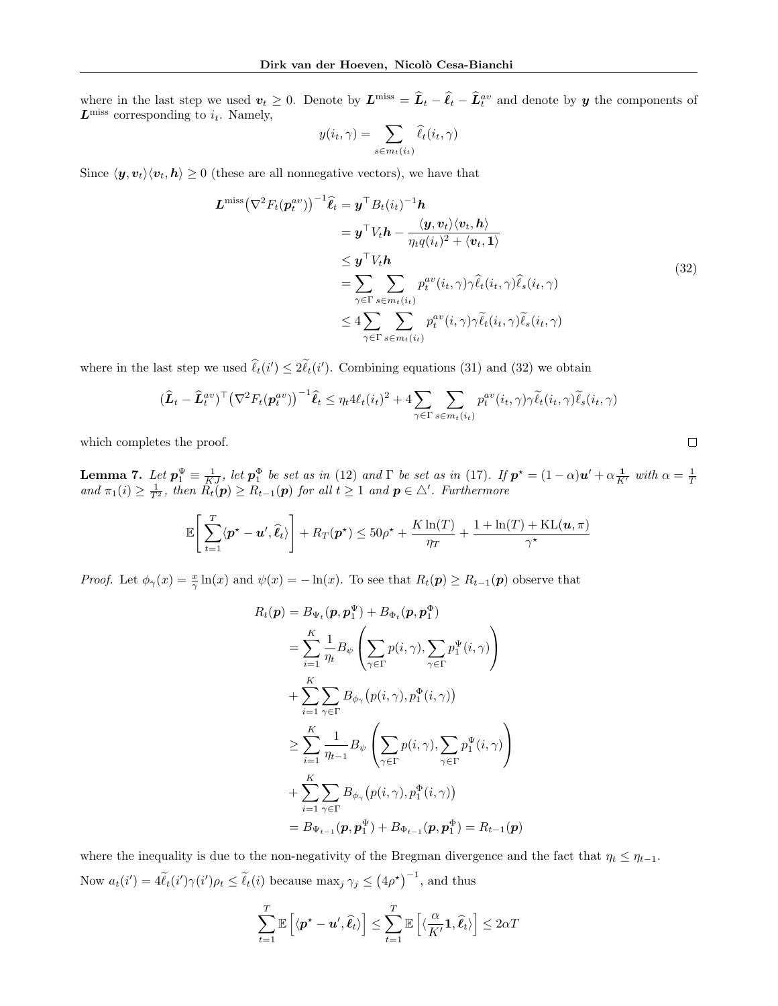where in the last step we used  $v_t \geq 0$ . Denote by  $L^{\text{miss}} = \hat{L}_t - \hat{\ell}_t - \hat{L}_t^{\text{av}}$  and denote by  $y$  the components of  $L<sup>miss</sup>$  corresponding to  $i_t$ . Namely,

$$
y(i_t, \gamma) = \sum_{s \in m_t(i_t)} \hat{\ell}_t(i_t, \gamma)
$$

<span id="page-16-1"></span>Since  $\langle y, v_t \rangle \langle v_t, h \rangle \ge 0$  (these are all nonnegative vectors), we have that

$$
\mathbf{L}^{\text{miss}}(\nabla^2 F_t(\mathbf{p}_t^{av}))^{-1} \hat{\ell}_t = \mathbf{y}^\top B_t(i_t)^{-1} \mathbf{h}
$$
\n
$$
= \mathbf{y}^\top V_t \mathbf{h} - \frac{\langle \mathbf{y}, \mathbf{v}_t \rangle \langle \mathbf{v}_t, \mathbf{h} \rangle}{\eta_t q(i_t)^2 + \langle \mathbf{v}_t, \mathbf{1} \rangle}
$$
\n
$$
\leq \mathbf{y}^\top V_t \mathbf{h}
$$
\n
$$
= \sum_{\gamma \in \Gamma} \sum_{s \in m_t(i_t)} p_t^{av}(i_t, \gamma) \hat{\ell}_t(i_t, \gamma) \hat{\ell}_s(i_t, \gamma)
$$
\n
$$
\leq 4 \sum_{\gamma \in \Gamma} \sum_{s \in m_t(i_t)} p_t^{av}(i, \gamma) \gamma \tilde{\ell}_t(i_t, \gamma) \tilde{\ell}_s(i_t, \gamma)
$$
\n(32)

where in the last step we used  $\hat{\ell}_t(i') \leq 2\tilde{\ell}_t(i')$ . Combining equations [\(31\)](#page-15-2) and [\(32\)](#page-16-1) we obtain

$$
(\widehat{\bm{L}}_t - \widehat{\bm{L}}_t^{av})^\top (\nabla^2 F_t(\bm{p}_t^{av}))^{-1} \widehat{\bm{\ell}}_t \leq \eta_t 4\ell_t(i_t)^2 + 4 \sum_{\gamma \in \Gamma} \sum_{s \in m_t(i_t)} p_t^{av}(i_t, \gamma) \gamma \widetilde{\ell}_t(i_t, \gamma) \widetilde{\ell}_s(i_t, \gamma)
$$

which completes the proof.

<span id="page-16-0"></span>**Lemma 7.** Let  $p_1^{\Psi} \equiv \frac{1}{KJ}$ , let  $p_1^{\Phi}$  be set as in [\(12\)](#page-4-6) and  $\Gamma$  be set as in [\(17\)](#page-6-1). If  $p^* = (1 - \alpha)u' + \alpha \frac{1}{K'}$  with  $\alpha = \frac{1}{T}$  and  $\pi_1(i) \geq \frac{1}{T^2}$ , then  $R_t(p) \geq R_{t-1}(p)$  for all  $t \geq 1$  and  $p \in \triangle'$ .

$$
\mathbb{E}\left[\sum_{t=1}^T \langle \mathbf{p}^{\star} - \mathbf{u}', \hat{\ell}_t \rangle\right] + R_T(\mathbf{p}^{\star}) \le 50\rho^{\star} + \frac{K\ln(T)}{\eta_T} + \frac{1 + \ln(T) + \text{KL}(\mathbf{u}, \pi)}{\gamma^{\star}}
$$

*Proof.* Let  $\phi_{\gamma}(x) = \frac{x}{\gamma} \ln(x)$  and  $\psi(x) = -\ln(x)$ . To see that  $R_t(\mathbf{p}) \ge R_{t-1}(\mathbf{p})$  observe that

$$
R_t(\mathbf{p}) = B_{\Psi_t}(\mathbf{p}, \mathbf{p}_1^{\Psi}) + B_{\Phi_t}(\mathbf{p}, \mathbf{p}_1^{\Phi})
$$
  
\n
$$
= \sum_{i=1}^K \frac{1}{\eta_t} B_{\psi} \left( \sum_{\gamma \in \Gamma} p(i, \gamma), \sum_{\gamma \in \Gamma} p_1^{\Psi}(i, \gamma) \right)
$$
  
\n
$$
+ \sum_{i=1}^K \sum_{\gamma \in \Gamma} B_{\phi_{\gamma}} (p(i, \gamma), p_1^{\Phi}(i, \gamma))
$$
  
\n
$$
\geq \sum_{i=1}^K \frac{1}{\eta_{t-1}} B_{\psi} \left( \sum_{\gamma \in \Gamma} p(i, \gamma), \sum_{\gamma \in \Gamma} p_1^{\Psi}(i, \gamma) \right)
$$
  
\n
$$
+ \sum_{i=1}^K \sum_{\gamma \in \Gamma} B_{\phi_{\gamma}} (p(i, \gamma), p_1^{\Phi}(i, \gamma))
$$
  
\n
$$
= B_{\Psi_{t-1}}(\mathbf{p}, \mathbf{p}_1^{\Psi}) + B_{\Phi_{t-1}}(\mathbf{p}, \mathbf{p}_1^{\Phi}) = R_{t-1}(\mathbf{p})
$$

where the inequality is due to the non-negativity of the Bregman divergence and the fact that  $\eta_t \leq \eta_{t-1}$ . Now  $a_t(i') = 4\tilde{\ell}_t(i')\gamma(i')\rho_t \leq \tilde{\ell}_t(i)$  because  $\max_j \gamma_j \leq (4\rho^*)^{-1}$ , and thus

$$
\sum_{t=1}^{T} \mathbb{E}\left[\langle \mathbf{p}^{\star} - \mathbf{u}', \hat{\ell}_t \rangle\right] \leq \sum_{t=1}^{T} \mathbb{E}\left[\langle \frac{\alpha}{K'}\mathbf{1}, \hat{\ell}_t \rangle\right] \leq 2\alpha T
$$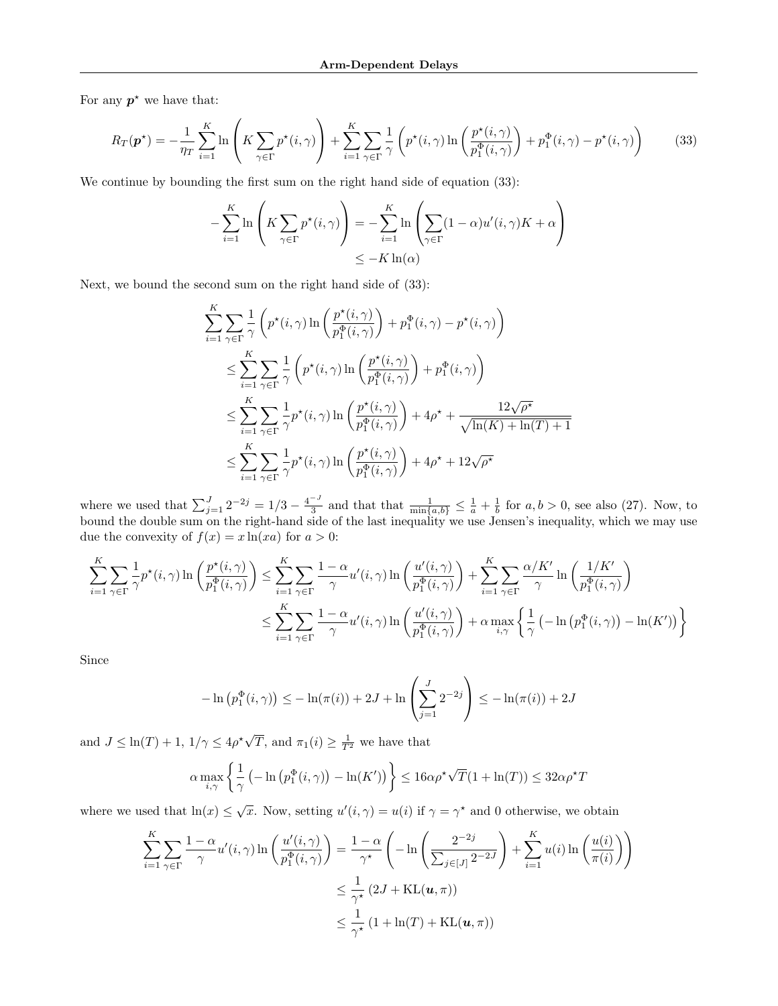For any  $p^*$  we have that:

<span id="page-17-0"></span>
$$
R_T(\boldsymbol{p}^{\star}) = -\frac{1}{\eta_T} \sum_{i=1}^K \ln \left( K \sum_{\gamma \in \Gamma} p^{\star}(i, \gamma) \right) + \sum_{i=1}^K \sum_{\gamma \in \Gamma} \frac{1}{\gamma} \left( p^{\star}(i, \gamma) \ln \left( \frac{p^{\star}(i, \gamma)}{p_1^{\Phi}(i, \gamma)} \right) + p_1^{\Phi}(i, \gamma) - p^{\star}(i, \gamma) \right) \tag{33}
$$

We continue by bounding the first sum on the right hand side of equation [\(33\)](#page-17-0):

$$
-\sum_{i=1}^{K} \ln \left( K \sum_{\gamma \in \Gamma} p^{\star}(i, \gamma) \right) = -\sum_{i=1}^{K} \ln \left( \sum_{\gamma \in \Gamma} (1 - \alpha) u'(i, \gamma) K + \alpha \right)
$$
  

$$
\leq -K \ln(\alpha)
$$

Next, we bound the second sum on the right hand side of [\(33\)](#page-17-0):

$$
\sum_{i=1}^{K} \sum_{\gamma \in \Gamma} \frac{1}{\gamma} \left( p^*(i, \gamma) \ln \left( \frac{p^*(i, \gamma)}{p_1^{\Phi}(i, \gamma)} \right) + p_1^{\Phi}(i, \gamma) - p^*(i, \gamma) \right)
$$
\n
$$
\leq \sum_{i=1}^{K} \sum_{\gamma \in \Gamma} \frac{1}{\gamma} \left( p^*(i, \gamma) \ln \left( \frac{p^*(i, \gamma)}{p_1^{\Phi}(i, \gamma)} \right) + p_1^{\Phi}(i, \gamma) \right)
$$
\n
$$
\leq \sum_{i=1}^{K} \sum_{\gamma \in \Gamma} \frac{1}{\gamma} p^*(i, \gamma) \ln \left( \frac{p^*(i, \gamma)}{p_1^{\Phi}(i, \gamma)} \right) + 4\rho^* + \frac{12\sqrt{\rho^*}}{\sqrt{\ln(K) + \ln(T) + 1}}
$$
\n
$$
\leq \sum_{i=1}^{K} \sum_{\gamma \in \Gamma} \frac{1}{\gamma} p^*(i, \gamma) \ln \left( \frac{p^*(i, \gamma)}{p_1^{\Phi}(i, \gamma)} \right) + 4\rho^* + 12\sqrt{\rho^*}
$$

where we used that  $\sum_{j=1}^{J} 2^{-2j} = 1/3 - \frac{4^{-J}}{3}$  $\frac{1}{3}$  and that that  $\frac{1}{\min\{a,b\}} \leq \frac{1}{a} + \frac{1}{b}$  for  $a, b > 0$ , see also [\(27\)](#page-13-2). Now, to bound the double sum on the right-hand side of the last inequality we use Jensen's inequality, which we may use due the convexity of  $f(x) = x \ln(xa)$  for  $a > 0$ :

$$
\sum_{i=1}^{K} \sum_{\gamma \in \Gamma} \frac{1}{\gamma} p^{\star}(i, \gamma) \ln \left( \frac{p^{\star}(i, \gamma)}{p_1^{\Phi}(i, \gamma)} \right) \leq \sum_{i=1}^{K} \sum_{\gamma \in \Gamma} \frac{1 - \alpha}{\gamma} u'(i, \gamma) \ln \left( \frac{u'(i, \gamma)}{p_1^{\Phi}(i, \gamma)} \right) + \sum_{i=1}^{K} \sum_{\gamma \in \Gamma} \frac{\alpha/K'}{\gamma} \ln \left( \frac{1/K'}{p_1^{\Phi}(i, \gamma)} \right)
$$

$$
\leq \sum_{i=1}^{K} \sum_{\gamma \in \Gamma} \frac{1 - \alpha}{\gamma} u'(i, \gamma) \ln \left( \frac{u'(i, \gamma)}{p_1^{\Phi}(i, \gamma)} \right) + \alpha \max_{i, \gamma} \left\{ \frac{1}{\gamma} \left( -\ln \left( p_1^{\Phi}(i, \gamma) \right) - \ln(K') \right) \right\}
$$

Since

$$
-\ln (p_1^{\Phi}(i,\gamma)) \le -\ln(\pi(i)) + 2J + \ln \left(\sum_{j=1}^J 2^{-2j}\right) \le -\ln(\pi(i)) + 2J
$$

and  $J \leq \ln(T) + 1$ ,  $1/\gamma \leq 4\rho^* \sqrt{ }$  $\overline{T}$ , and  $\pi_1(i) \geq \frac{1}{T^2}$  we have that

$$
\alpha \max_{i,\gamma} \left\{ \frac{1}{\gamma} \left( -\ln \left( p_1^{\Phi}(i,\gamma) \right) - \ln(K') \right) \right\} \le 16\alpha \rho^{\star} \sqrt{T} (1 + \ln(T)) \le 32\alpha \rho^{\star} T
$$

where we used that  $\ln(x) \leq \sqrt{x}$ . Now, setting  $u'(i, \gamma) = u(i)$  if  $\gamma = \gamma^*$  and 0 otherwise, we obtain

$$
\sum_{i=1}^{K} \sum_{\gamma \in \Gamma} \frac{1 - \alpha}{\gamma} u'(i, \gamma) \ln \left( \frac{u'(i, \gamma)}{p_1^{\Phi}(i, \gamma)} \right) = \frac{1 - \alpha}{\gamma^{\star}} \left( -\ln \left( \frac{2^{-2j}}{\sum_{j \in [J]} 2^{-2J}} \right) + \sum_{i=1}^{K} u(i) \ln \left( \frac{u(i)}{\pi(i)} \right) \right)
$$
  

$$
\leq \frac{1}{\gamma^{\star}} \left( 2J + \text{KL}(\mathbf{u}, \pi) \right)
$$
  

$$
\leq \frac{1}{\gamma^{\star}} \left( 1 + \ln(T) + \text{KL}(\mathbf{u}, \pi) \right)
$$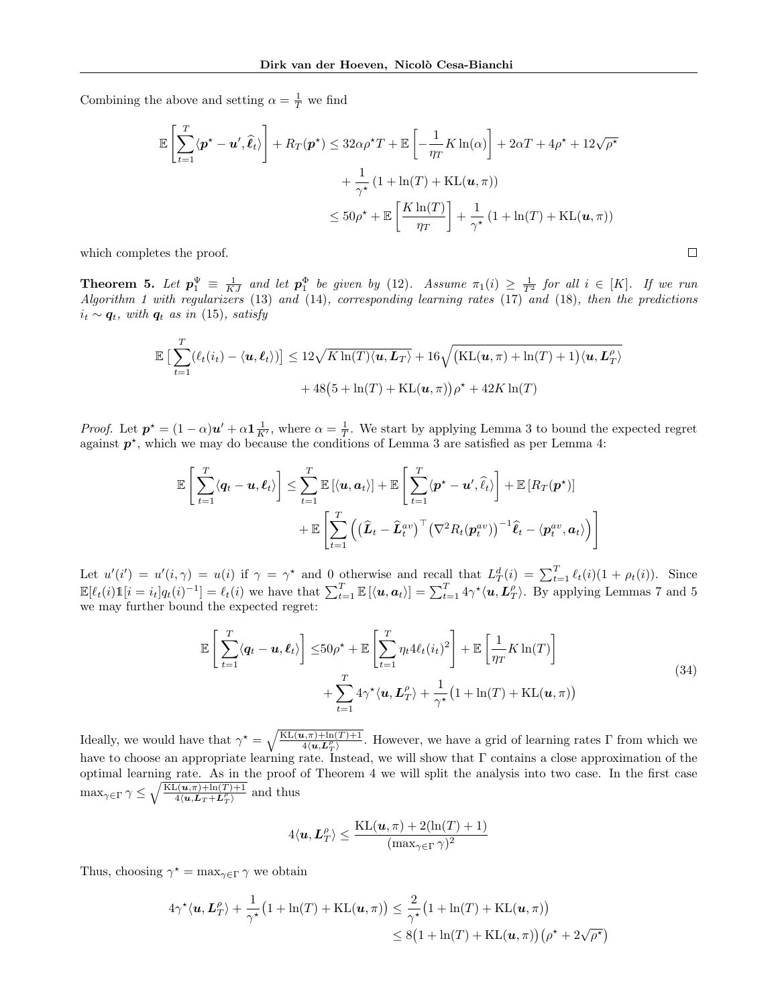Combining the above and setting  $\alpha = \frac{1}{T}$  we find

$$
\mathbb{E}\left[\sum_{t=1}^{T} \langle \mathbf{p}^{\star} - \mathbf{u}', \hat{\ell}_{t} \rangle \right] + R_{T}(\mathbf{p}^{\star}) \leq 32\alpha \rho^{\star} T + \mathbb{E}\left[-\frac{1}{\eta_{T}} K \ln(\alpha)\right] + 2\alpha T + 4\rho^{\star} + 12\sqrt{\rho^{\star}} \n+ \frac{1}{\gamma^{\star}} \left(1 + \ln(T) + \text{KL}(\mathbf{u}, \pi)\right) \n\leq 50\rho^{\star} + \mathbb{E}\left[\frac{K \ln(T)}{\eta_{T}}\right] + \frac{1}{\gamma^{\star}} \left(1 + \ln(T) + \text{KL}(\mathbf{u}, \pi)\right)
$$

 $\Box$ 

which completes the proof.

<span id="page-18-0"></span>**Theorem 5.** Let  $p_1^{\Psi} \equiv \frac{1}{KJ}$  and let  $p_1^{\Phi}$  be given by [\(12\)](#page-4-6). Assume  $\pi_1(i) \geq \frac{1}{T^2}$  for all  $i \in [K]$ . If we run Algorithm [1](#page-3-1) with regularizers [\(13\)](#page-5-2) and [\(14\)](#page-5-3), corresponding learning rates [\(17\)](#page-6-1) and [\(18\)](#page-6-2), then the predictions  $i_t \sim q_t$ , with  $q_t$  as in [\(15\)](#page-5-4), satisfy

$$
\mathbb{E}\left[\sum_{t=1}^T (\ell_t(i_t) - \langle \boldsymbol{u}, \boldsymbol{\ell}_t \rangle)\right] \le 12\sqrt{K\ln(T)\langle \boldsymbol{u}, \boldsymbol{L}_T \rangle} + 16\sqrt{\big(\text{KL}(\boldsymbol{u}, \pi) + \ln(T) + 1\big)\langle \boldsymbol{u}, \boldsymbol{L}_T^{\rho}\rangle} + 48\big(5 + \ln(T) + \text{KL}(\boldsymbol{u}, \pi)\big)\rho^* + 42K\ln(T)
$$

*Proof.* Let  $p^* = (1 - \alpha)u' + \alpha \mathbf{1}_{K'}^{-1}$ , where  $\alpha = \frac{1}{T}$ . We start by applying Lemma [3](#page-4-8) to bound the expected regret against  $p^*$ , which we may do because the conditions of Lemma [3](#page-4-8) are satisfied as per Lemma [4:](#page-6-4)

$$
\mathbb{E}\left[\sum_{t=1}^T \langle \mathbf{q}_t - \mathbf{u}, \boldsymbol{\ell}_t \rangle \right] \leq \sum_{t=1}^T \mathbb{E}\left[\langle \mathbf{u}, \mathbf{a}_t \rangle \right] + \mathbb{E}\left[\sum_{t=1}^T \langle \mathbf{p}^{\star} - \mathbf{u}', \hat{\ell}_t \rangle \right] + \mathbb{E}\left[R_T(\mathbf{p}^{\star})\right] + \mathbb{E}\left[\sum_{t=1}^T \left(\left(\widehat{\mathbf{L}}_t - \widehat{\mathbf{L}}_t^{av}\right)^{\top} \left(\nabla^2 R_t(\mathbf{p}_t^{av})\right)^{-1} \widehat{\ell}_t - \langle \mathbf{p}_t^{av}, \mathbf{a}_t \rangle \right)\right]
$$

Let  $u'(i') = u'(i, \gamma) = u(i)$  if  $\gamma = \gamma^*$  and 0 otherwise and recall that  $L^d_T(i) = \sum_{t=1}^T \ell_t(i)(1 + \rho_t(i))$ . Since  $\mathbb{E}[\ell_t(i)\mathbb{1}[i = i_t]q_t(i)^{-1}] = \ell_t(i)$  we have that  $\sum_{t=1}^T \mathbb{E}[\langle \boldsymbol{u}, \boldsymbol{a}_t \rangle] = \sum_{t=1}^T 4\gamma^* \langle \boldsymbol{u}, \boldsymbol{L}_T^{\rho} \rangle$ . By applying Lemmas [7](#page-16-0) and [5](#page-6-5) we may further bound the expected regret:

$$
\mathbb{E}\left[\sum_{t=1}^{T} \langle \mathbf{q}_t - \mathbf{u}, \boldsymbol{\ell}_t \rangle \right] \le 50\rho^* + \mathbb{E}\left[\sum_{t=1}^{T} \eta_t 4\ell_t (i_t)^2\right] + \mathbb{E}\left[\frac{1}{\eta_T} K \ln(T)\right] + \sum_{t=1}^{T} 4\gamma^* \langle \mathbf{u}, \mathbf{L}_T^{\rho} \rangle + \frac{1}{\gamma^*} \left(1 + \ln(T) + \mathrm{KL}(\mathbf{u}, \pi)\right)
$$
\n(34)

<span id="page-18-1"></span>Ideally, we would have that  $\gamma^* = \sqrt{\frac{KL(u,\pi)+\ln(T)+1}{4(u,L_T^{\rho})}}$ . However, we have a grid of learning rates  $\Gamma$  from which we have to choose an appropriate learning rate. Instead, we will show that Γ contains a close approximation of the optimal learning rate. As in the proof of Theorem [4](#page-12-0) we will split the analysis into two case. In the first case  $\max_{\gamma \in \Gamma} \gamma \leq \sqrt{\frac{KL(u,\pi)+\ln(T)+1}{4\langle u, L_T + L_T^{\rho} \rangle}}$  and thus

$$
4\langle \boldsymbol{u},\boldsymbol{L}_T^{\rho}\rangle \leq \frac{\mathrm{KL}(\boldsymbol{u},\pi)+2(\ln(T)+1)}{(\max_{\gamma\in \Gamma}\gamma)^2}
$$

Thus, choosing  $\gamma^* = \max_{\gamma \in \Gamma} \gamma$  we obtain

$$
4\gamma^{\star}\langle \mathbf{u}, \mathbf{L}_T^{\rho}\rangle + \frac{1}{\gamma^{\star}}\big(1 + \ln(T) + \mathrm{KL}(\mathbf{u}, \pi)\big) \le \frac{2}{\gamma^{\star}}\big(1 + \ln(T) + \mathrm{KL}(\mathbf{u}, \pi)\big) \le 8\big(1 + \ln(T) + \mathrm{KL}(\mathbf{u}, \pi)\big)\big(\rho^{\star} + 2\sqrt{\rho^{\star}}\big)
$$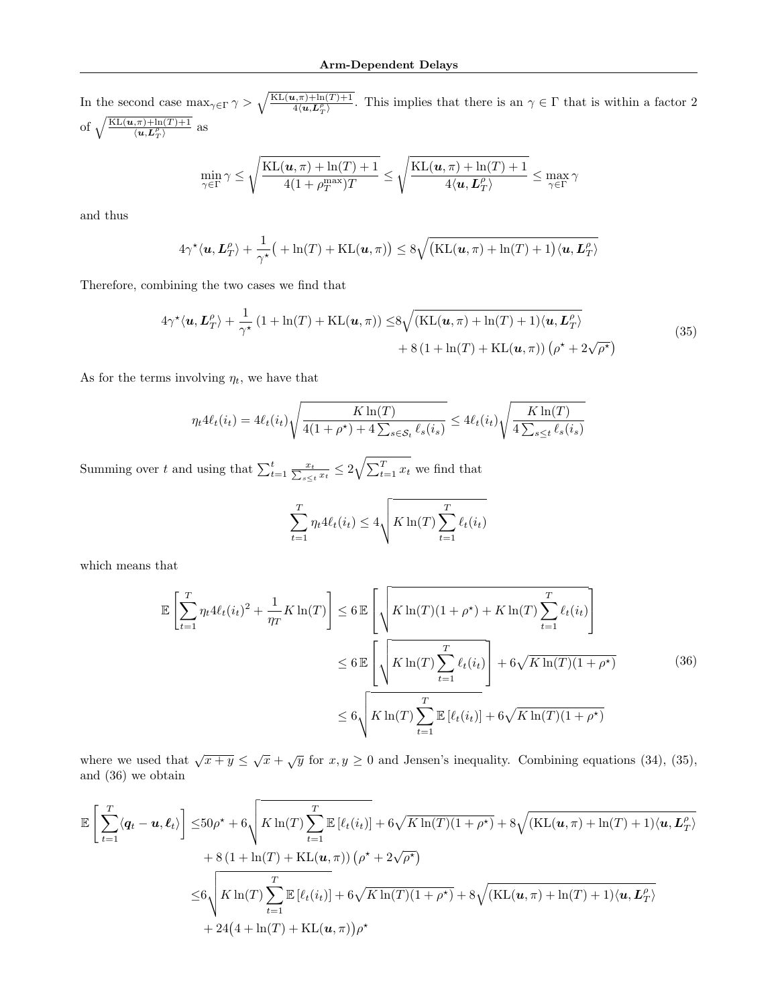In the second case  $\max_{\gamma \in \Gamma} \gamma > \sqrt{\frac{KL(u,\pi)+\ln(T)+1}{4(u,L_T^{\rho})}}$ . This implies that there is an  $\gamma \in \Gamma$  that is within a factor 2 of  $\sqrt{\frac{\text{KL}(u,\pi)+\ln(T)+1}{\langle u, L_T^{\rho}\rangle}}$  as

$$
\min_{\gamma \in \Gamma} \gamma \leq \sqrt{\frac{\mathrm{KL}(\boldsymbol{u}, \pi) + \ln(T) + 1}{4(1 + \rho_T^{\mathrm{max}})T}} \leq \sqrt{\frac{\mathrm{KL}(\boldsymbol{u}, \pi) + \ln(T) + 1}{4\langle \boldsymbol{u}, \boldsymbol{L}_T^{\rho}\rangle}} \leq \max_{\gamma \in \Gamma} \gamma
$$

and thus

$$
4\gamma^{\star}\langle \mathbf{u}, \mathbf{L}_T^{\rho}\rangle + \frac{1}{\gamma^{\star}}\big( + \ln(T) + \mathrm{KL}(\mathbf{u}, \pi) \big) \le 8\sqrt{\big(\mathrm{KL}(\mathbf{u}, \pi) + \ln(T) + 1\big)\langle \mathbf{u}, \mathbf{L}_T^{\rho}\rangle}
$$

<span id="page-19-0"></span>Therefore, combining the two cases we find that

$$
4\gamma^{\star}\langle\mathbf{u},\mathbf{L}_{T}^{\rho}\rangle + \frac{1}{\gamma^{\star}}\left(1 + \ln(T) + \mathrm{KL}(\mathbf{u},\pi)\right) \le 8\sqrt{(\mathrm{KL}(\mathbf{u},\pi) + \ln(T) + 1)\langle\mathbf{u},\mathbf{L}_{T}^{\rho}\rangle} \\ + 8\left(1 + \ln(T) + \mathrm{KL}(\mathbf{u},\pi)\right)\left(\rho^{\star} + 2\sqrt{\rho^{\star}}\right) \tag{35}
$$

As for the terms involving  $\eta_t$ , we have that

$$
\eta_t 4\ell_t(i_t) = 4\ell_t(i_t) \sqrt{\frac{K \ln(T)}{4(1+\rho^\star) + 4\sum_{s \in \mathcal{S}_t} \ell_s(i_s)}} \le 4\ell_t(i_t) \sqrt{\frac{K \ln(T)}{4\sum_{s \le t} \ell_s(i_s)}}
$$

Summing over t and using that  $\sum_{t=1}^t \frac{x_t}{\sum_{s\leq t} x_t} \leq 2\sqrt{\sum_{t=1}^T x_t}$  we find that

$$
\sum_{t=1}^{T} \eta_t 4\ell_t(i_t) \le 4\sqrt{K \ln(T) \sum_{t=1}^{T} \ell_t(i_t)}
$$

<span id="page-19-1"></span>which means that

$$
\mathbb{E}\left[\sum_{t=1}^{T} \eta_t 4\ell_t(i_t)^2 + \frac{1}{\eta_T} K \ln(T)\right] \leq 6 \mathbb{E}\left[\sqrt{K \ln(T)(1+\rho^*) + K \ln(T) \sum_{t=1}^{T} \ell_t(i_t)}\right]
$$
  

$$
\leq 6 \mathbb{E}\left[\sqrt{K \ln(T) \sum_{t=1}^{T} \ell_t(i_t)}\right] + 6\sqrt{K \ln(T)(1+\rho^*)}
$$
(36)  

$$
\leq 6\sqrt{K \ln(T) \sum_{t=1}^{T} \mathbb{E}\left[\ell_t(i_t)\right] + 6\sqrt{K \ln(T)(1+\rho^*)}}
$$

where we used that  $\sqrt{x+y} \leq \sqrt{x} + \sqrt{y}$  for  $x, y \geq 0$  and Jensen's inequality. Combining equations [\(34\)](#page-18-1), [\(35\)](#page-19-0), and [\(36\)](#page-19-1) we obtain

$$
\mathbb{E}\left[\sum_{t=1}^{T}\langle\mathbf{q}_{t}-\mathbf{u},\boldsymbol{\ell}_{t}\rangle\right] \leq 50\rho^{\star} + 6\sqrt{K\ln(T)\sum_{t=1}^{T}\mathbb{E}\left[\ell_{t}(i_{t})\right]} + 6\sqrt{K\ln(T)(1+\rho^{\star})} + 8\sqrt{(KL(\mathbf{u},\pi)+\ln(T)+1)(\mathbf{u},\mathbf{L}_{T}^{\rho})} \n+ 8(1+\ln(T)+KL(\mathbf{u},\pi))\left(\rho^{\star}+2\sqrt{\rho^{\star}}\right) \n\leq 6\sqrt{K\ln(T)\sum_{t=1}^{T}\mathbb{E}\left[\ell_{t}(i_{t})\right] + 6\sqrt{K\ln(T)(1+\rho^{\star})} + 8\sqrt{(KL(\mathbf{u},\pi)+\ln(T)+1)(\mathbf{u},\mathbf{L}_{T}^{\rho})} \n+ 24(4+\ln(T)+KL(\mathbf{u},\pi))\rho^{\star}
$$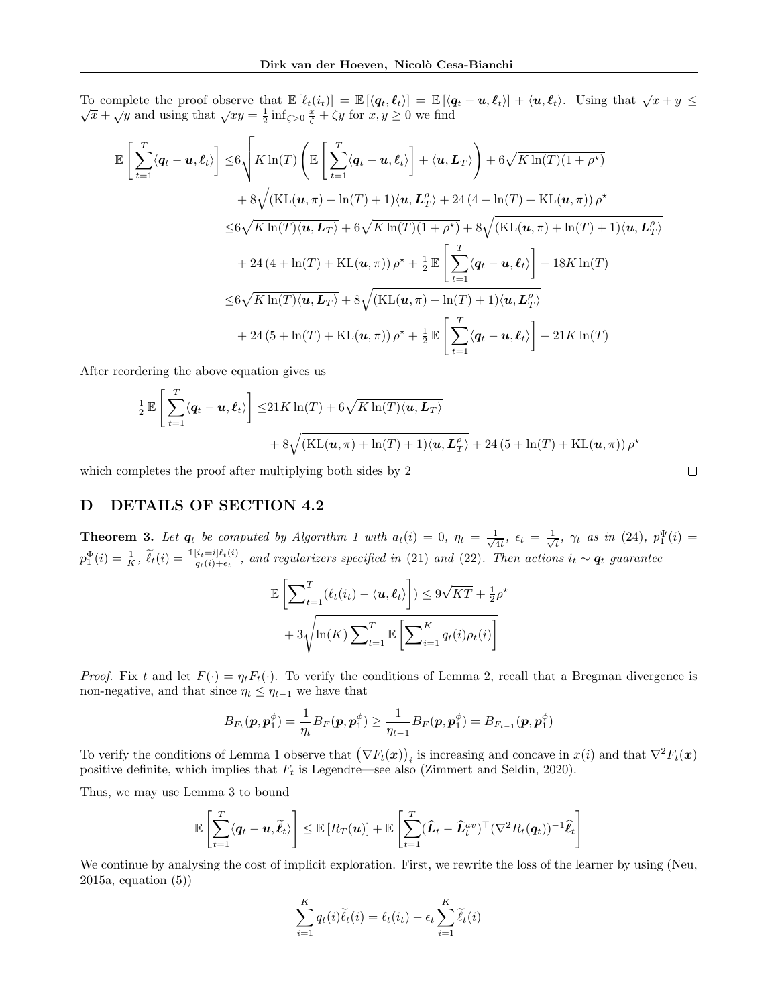To complete the proof observe that  $\mathbb{E} [\ell_t(i_t)] = \mathbb{E} [\langle q_t, \ell_t \rangle] = \mathbb{E} [\langle q_t - u, \ell_t \rangle] + \langle u, \ell_t \rangle$ . Using that  $\sqrt{x + y} \leq$ Complete the proof observe that  $\mathbb{E}[c_t(v_t)] = \mathbb{E}[(q_t, c_t)] = \mathbb{E}[(q_t - \bar{x}_t)]$ <br> $\overline{x} + \sqrt{y}$  and using that  $\sqrt{xy} = \frac{1}{2} \inf_{\zeta > 0} \frac{x}{\zeta} + \zeta y$  for  $x, y \ge 0$  we find

$$
\mathbb{E}\left[\sum_{t=1}^{T}\langle\mathbf{q}_{t}-\mathbf{u},\boldsymbol{\ell}_{t}\rangle\right] \leq 6\sqrt{K\ln(T)\left(\mathbb{E}\left[\sum_{t=1}^{T}\langle\mathbf{q}_{t}-\mathbf{u},\boldsymbol{\ell}_{t}\rangle\right]+\langle\mathbf{u},\mathbf{L}_{T}\rangle\right)} + 6\sqrt{K\ln(T)(1+\rho^{*})}
$$
  
+8 $\sqrt{(KL(\mathbf{u},\pi)+\ln(T)+1)\langle\mathbf{u},\mathbf{L}_{T}^{\rho}\rangle} + 24(4+\ln(T)+KL(\mathbf{u},\pi))\rho^{*}$   
 $\leq 6\sqrt{K\ln(T)\langle\mathbf{u},\mathbf{L}_{T}\rangle} + 6\sqrt{K\ln(T)(1+\rho^{*})} + 8\sqrt{(KL(\mathbf{u},\pi)+\ln(T)+1)\langle\mathbf{u},\mathbf{L}_{T}^{\rho}\rangle}$   
+24(4+\ln(T)+KL(\mathbf{u},\pi))\rho^{\*} + \frac{1}{2}\mathbb{E}\left[\sum\_{t=1}^{T}\langle\mathbf{q}\_{t}-\mathbf{u},\boldsymbol{\ell}\_{t}\rangle\right] + 18K\ln(T)  
 $\leq 6\sqrt{K\ln(T)\langle\mathbf{u},\mathbf{L}_{T}\rangle} + 8\sqrt{(KL(\mathbf{u},\pi)+\ln(T)+1)\langle\mathbf{u},\mathbf{L}_{T}^{\rho}\rangle}$   
+24(5+\ln(T)+KL(\mathbf{u},\pi))\rho^{\*} + \frac{1}{2}\mathbb{E}\left[\sum\_{t=1}^{T}\langle\mathbf{q}\_{t}-\mathbf{u},\boldsymbol{\ell}\_{t}\rangle\right] + 21K\ln(T)

After reordering the above equation gives us

$$
\frac{1}{2} \mathbb{E} \left[ \sum_{t=1}^{T} \langle \boldsymbol{q}_t - \boldsymbol{u}, \boldsymbol{\ell}_t \rangle \right] \le 21 K \ln(T) + 6 \sqrt{K \ln(T) \langle \boldsymbol{u}, \boldsymbol{L}_T \rangle} \n+ 8 \sqrt{(KL(\boldsymbol{u}, \pi) + \ln(T) + 1) \langle \boldsymbol{u}, \boldsymbol{L}_T^{\rho} \rangle} + 24 (5 + \ln(T) + KL(\boldsymbol{u}, \pi)) \rho^{\star}
$$

which completes the proof after multiplying both sides by 2

## <span id="page-20-0"></span>D DETAILS OF SECTION [4.2](#page-7-5)

**Theorem 3.** Let  $q_t$  be computed by Algorithm [1](#page-3-1) with  $a_t(i) = 0$ ,  $\eta_t = \frac{1}{\sqrt{2}}$  $\frac{1}{4t},\;\epsilon_t\,=\,\frac{1}{\sqrt{}}$  $\frac{1}{t}$ ,  $\gamma_t$  as in [\(24\)](#page-7-2),  $p_1^{\Psi}(i) =$  $p_1^{\Phi}(i) = \frac{1}{K}$ ,  $\widetilde{\ell}_t(i) = \frac{1[i_t=i]\ell_t(i)}{q_t(i)+\epsilon_t}$ , and regularizers specified in [\(21\)](#page-7-3) and [\(22\)](#page-7-4). Then actions  $i_t \sim q_t$  guarantee

$$
\mathbb{E}\left[\sum_{t=1}^{T}(\ell_t(i_t) - \langle \mathbf{u}, \boldsymbol{\ell}_t \rangle) \right] \leq 9\sqrt{KT} + \frac{1}{2}\rho^*
$$

$$
+ 3\sqrt{\ln(K) \sum_{t=1}^{T} \mathbb{E}\left[\sum_{i=1}^{K} q_t(i)\rho_t(i)\right]}
$$

*Proof.* Fix t and let  $F(\cdot) = \eta_t F_t(\cdot)$ . To verify the conditions of Lemma [2,](#page-4-1) recall that a Bregman divergence is non-negative, and that since  $\eta_t \leq \eta_{t-1}$  we have that

$$
B_{F_t}(\boldsymbol{p}, \boldsymbol{p}^{\phi}_1) = \frac{1}{\eta_t} B_F(\boldsymbol{p}, \boldsymbol{p}^{\phi}_1) \geq \frac{1}{\eta_{t-1}} B_F(\boldsymbol{p}, \boldsymbol{p}^{\phi}_1) = B_{F_{t-1}}(\boldsymbol{p}, \boldsymbol{p}^{\phi}_1)
$$

To verify the conditions of Lemma [1](#page-4-2) observe that  $(\nabla F_t(\boldsymbol{x}))_i$  is increasing and concave in  $x(i)$  and that  $\nabla^2 F_t(\boldsymbol{x})$ positive definite, which implies that  $F_t$  is Legendre—see also [\(Zimmert and Seldin, 2020\)](#page-9-0).

Thus, we may use Lemma [3](#page-4-8) to bound

$$
\mathbb{E}\left[\sum_{t=1}^T \langle \boldsymbol{q}_t - \boldsymbol{u}, \widetilde{\boldsymbol{\ell}}_t \rangle \right] \leq \mathbb{E}\left[R_T(\boldsymbol{u})\right] + \mathbb{E}\left[\sum_{t=1}^T (\widehat{\boldsymbol{L}}_t - \widehat{\boldsymbol{L}}_t^{av})^\top (\nabla^2 R_t(\boldsymbol{q}_t))^{-1} \widehat{\boldsymbol{\ell}}_t \right]
$$

We continue by analysing the cost of implicit exploration. First, we rewrite the loss of the learner by using [\(Neu,](#page-9-21) [2015a,](#page-9-21) equation (5))

$$
\sum_{i=1}^{K} q_t(i)\widetilde{\ell}_t(i) = \ell_t(i_t) - \epsilon_t \sum_{i=1}^{K} \widetilde{\ell}_t(i)
$$

$$
\qquad \qquad \Box
$$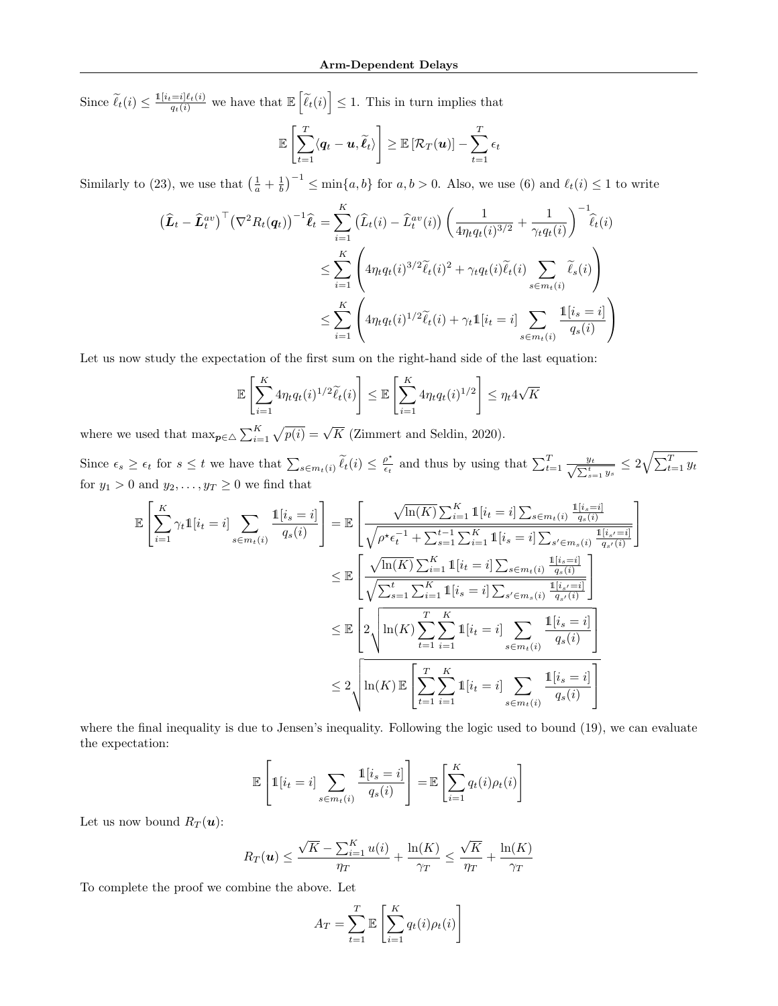Since  $\widetilde{\ell}_t(i) \leq \frac{\mathbb{1}[i_t=i]\ell_t(i)}{q_t(i)}$  we have that  $\mathbb{E}\left[\widetilde{\ell}_t(i)\right] \leq 1$ . This in turn implies that

$$
\mathbb{E}\left[\sum_{t=1}^T \langle \boldsymbol{q}_t - \boldsymbol{u}, \widetilde{\boldsymbol{\ell}}_t \rangle \right] \geq \mathbb{E}\left[\mathcal{R}_T(\boldsymbol{u})\right] - \sum_{t=1}^T \epsilon_t
$$

Similarly to [\(23\)](#page-7-6), we use that  $\left(\frac{1}{a} + \frac{1}{b}\right)^{-1} \le \min\{a, b\}$  for  $a, b > 0$ . Also, we use [\(6\)](#page-4-10) and  $\ell_t(i) \le 1$  to write

$$
\begin{split} \left(\widehat{L}_t - \widehat{L}_t^{av}\right)^{\top} \left(\nabla^2 R_t(q_t)\right)^{-1} \widehat{\ell}_t &= \sum_{i=1}^K \left(\widehat{L}_t(i) - \widehat{L}_t^{av}(i)\right) \left(\frac{1}{4\eta_t q_t(i)^{3/2}} + \frac{1}{\gamma_t q_t(i)}\right)^{-1} \widehat{\ell}_t(i) \\ &\le \sum_{i=1}^K \left(4\eta_t q_t(i)^{3/2} \widetilde{\ell}_t(i)^2 + \gamma_t q_t(i) \widetilde{\ell}_t(i) \sum_{s \in m_t(i)} \widetilde{\ell}_s(i)\right) \\ &\le \sum_{i=1}^K \left(4\eta_t q_t(i)^{1/2} \widetilde{\ell}_t(i) + \gamma_t \mathbb{1}[i_t = i] \sum_{s \in m_t(i)} \frac{\mathbb{1}[i_s = i]}{q_s(i)}\right) \end{split}
$$

Let us now study the expectation of the first sum on the right-hand side of the last equation:

$$
\mathbb{E}\left[\sum_{i=1}^K 4\eta_t q_t(i)^{1/2} \widetilde{\ell}_t(i)\right] \leq \mathbb{E}\left[\sum_{i=1}^K 4\eta_t q_t(i)^{1/2}\right] \leq \eta_t 4\sqrt{K}
$$

where we used that  $\max_{p \in \Delta} \sum_{i=1}^{K} \sqrt{p(i)} = \sqrt{K}$  [\(Zimmert and Seldin, 2020\)](#page-9-0).

Since  $\epsilon_s \geq \epsilon_t$  for  $s \leq t$  we have that  $\sum_{s \in m_t(i)} \widetilde{\ell}_t(i) \leq \frac{\rho^*}{\epsilon_t}$  $\frac{\rho^*}{\epsilon_t}$  and thus by using that  $\sum_{t=1}^T \frac{y_t}{\sqrt{\sum_{s=1}^t y_s}} \leq 2\sqrt{\sum_{t=1}^T y_t}$ for  $y_1 > 0$  and  $y_2, \ldots, y_T \geq 0$  we find that

> 1  $\mathsf{I}$

$$
\mathbb{E}\left[\sum_{i=1}^{K} \gamma_{t} \mathbb{1}[i_{t} = i] \sum_{s \in m_{t}(i)} \frac{\mathbb{1}[i_{s} = i]}{q_{s}(i)}\right] = \mathbb{E}\left[\frac{\sqrt{\ln(K)} \sum_{i=1}^{K} \mathbb{1}[i_{t} = i] \sum_{s \in m_{t}(i)} \frac{\mathbb{1}[i_{s} = i]}{q_{s}(i)}}{\sqrt{\rho^{*}\epsilon_{t}^{-1} + \sum_{s=1}^{t-1} \sum_{i=1}^{K} \mathbb{1}[i_{s} = i] \sum_{s' \in m_{s}(i)} \frac{\mathbb{1}[i_{s} = i]}{q_{s}(i)}}\right] \n\leq \mathbb{E}\left[\frac{\sqrt{\ln(K)} \sum_{i=1}^{K} \mathbb{1}[i_{t} = i] \sum_{s \in m_{t}(i)} \frac{\mathbb{1}[i_{s} = i]}{q_{s}(i)}}{\sqrt{\sum_{s=1}^{t} \sum_{i=1}^{K} \mathbb{1}[i_{s} = i] \sum_{s' \in m_{s}(i)} \frac{\mathbb{1}[i_{s} = i]}{q_{s}(i)}}\right] \n\leq \mathbb{E}\left[2\sqrt{\ln(K) \sum_{t=1}^{T} \sum_{i=1}^{K} \mathbb{1}[i_{t} = i] \sum_{s \in m_{t}(i)} \frac{\mathbb{1}[i_{s} = i]}{q_{s}(i)}}\right] \n\leq 2\sqrt{\ln(K) \mathbb{E}\left[\sum_{t=1}^{T} \sum_{i=1}^{K} \mathbb{1}[i_{t} = i] \sum_{s \in m_{t}(i)} \frac{\mathbb{1}[i_{s} = i]}{q_{s}(i)}\right]}
$$

where the final inequality is due to Jensen's inequality. Following the logic used to bound [\(19\)](#page-6-7), we can evaluate the expectation:

$$
\mathbb{E}\left[\mathbb{1}[i_t=i] \sum_{s \in m_t(i)} \frac{\mathbb{1}[i_s=i]}{q_s(i)}\right] = \mathbb{E}\left[\sum_{i=1}^K q_t(i)\rho_t(i)\right]
$$

Let us now bound  $R_T(\boldsymbol{u})$ :

$$
R_T(\mathbf{u}) \le \frac{\sqrt{K} - \sum_{i=1}^K u(i)}{\eta_T} + \frac{\ln(K)}{\gamma_T} \le \frac{\sqrt{K}}{\eta_T} + \frac{\ln(K)}{\gamma_T}
$$

To complete the proof we combine the above. Let

$$
A_T = \sum_{t=1}^T \mathbb{E}\left[\sum_{i=1}^K q_t(i)\rho_t(i)\right]
$$